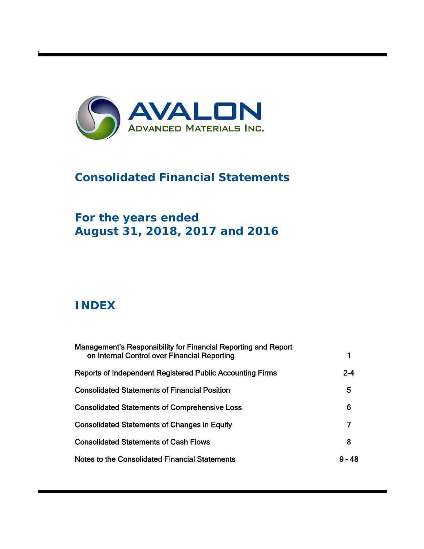

# **Consolidated Financial Statements**

# **For the years ended August 31, 2018, 2017 and 2016**

# **INDEX**

t

| Management's Responsibility for Financial Reporting and Report<br>on Internal Control over Financial Reporting |          |
|----------------------------------------------------------------------------------------------------------------|----------|
| Reports of Independent Registered Public Accounting Firms                                                      | $2 - 4$  |
| <b>Consolidated Statements of Financial Position</b>                                                           | 5        |
| <b>Consolidated Statements of Comprehensive Loss</b>                                                           | 6        |
| <b>Consolidated Statements of Changes in Equity</b>                                                            |          |
| <b>Consolidated Statements of Cash Flows</b>                                                                   | 8        |
| Notes to the Consolidated Financial Statements                                                                 | $9 - 48$ |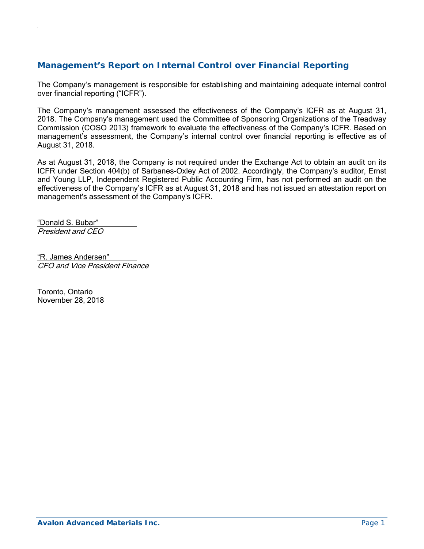# **Management's Report on Internal Control over Financial Reporting**

The Company's management is responsible for establishing and maintaining adequate internal control over financial reporting ("ICFR").

The Company's management assessed the effectiveness of the Company's ICFR as at August 31, 2018. The Company's management used the Committee of Sponsoring Organizations of the Treadway Commission (COSO 2013) framework to evaluate the effectiveness of the Company's ICFR. Based on management's assessment, the Company's internal control over financial reporting is effective as of August 31, 2018.

As at August 31, 2018, the Company is not required under the Exchange Act to obtain an audit on its ICFR under Section 404(b) of Sarbanes-Oxley Act of 2002. Accordingly, the Company's auditor, Ernst and Young LLP, Independent Registered Public Accounting Firm, has not performed an audit on the effectiveness of the Company's ICFR as at August 31, 2018 and has not issued an attestation report on management's assessment of the Company's ICFR.

"Donald S. Bubar" President and CEO

.

"R. James Andersen" CFO and Vice President Finance

Toronto, Ontario November 28, 2018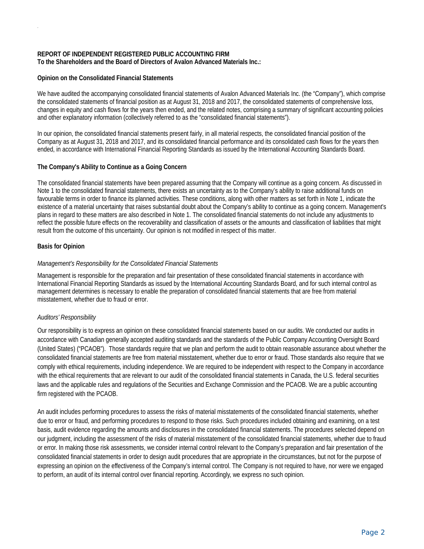#### **REPORT OF INDEPENDENT REGISTERED PUBLIC ACCOUNTING FIRM To the Shareholders and the Board of Directors of Avalon Advanced Materials Inc.:**

#### **Opinion on the Consolidated Financial Statements**

We have audited the accompanying consolidated financial statements of Avalon Advanced Materials Inc. (the "Company"), which comprise the consolidated statements of financial position as at August 31, 2018 and 2017, the consolidated statements of comprehensive loss, changes in equity and cash flows for the years then ended, and the related notes, comprising a summary of significant accounting policies and other explanatory information (collectively referred to as the "consolidated financial statements").

In our opinion, the consolidated financial statements present fairly, in all material respects, the consolidated financial position of the Company as at August 31, 2018 and 2017, and its consolidated financial performance and its consolidated cash flows for the years then ended, in accordance with International Financial Reporting Standards as issued by the International Accounting Standards Board.

#### **The Company's Ability to Continue as a Going Concern**

The consolidated financial statements have been prepared assuming that the Company will continue as a going concern. As discussed in Note 1 to the consolidated financial statements, there exists an uncertainty as to the Company's ability to raise additional funds on favourable terms in order to finance its planned activities. These conditions, along with other matters as set forth in Note 1, indicate the existence of a material uncertainty that raises substantial doubt about the Company's ability to continue as a going concern. Management's plans in regard to these matters are also described in Note 1. The consolidated financial statements do not include any adjustments to reflect the possible future effects on the recoverability and classification of assets or the amounts and classification of liabilities that might result from the outcome of this uncertainty. Our opinion is not modified in respect of this matter.

#### **Basis for Opinion**

.

#### *Management's Responsibility for the Consolidated Financial Statements*

Management is responsible for the preparation and fair presentation of these consolidated financial statements in accordance with International Financial Reporting Standards as issued by the International Accounting Standards Board, and for such internal control as management determines is necessary to enable the preparation of consolidated financial statements that are free from material misstatement, whether due to fraud or error.

#### *Auditors' Responsibility*

Our responsibility is to express an opinion on these consolidated financial statements based on our audits. We conducted our audits in accordance with Canadian generally accepted auditing standards and the standards of the Public Company Accounting Oversight Board (United States) ("PCAOB"). Those standards require that we plan and perform the audit to obtain reasonable assurance about whether the consolidated financial statements are free from material misstatement, whether due to error or fraud. Those standards also require that we comply with ethical requirements, including independence. We are required to be independent with respect to the Company in accordance with the ethical requirements that are relevant to our audit of the consolidated financial statements in Canada, the U.S. federal securities laws and the applicable rules and regulations of the Securities and Exchange Commission and the PCAOB. We are a public accounting firm registered with the PCAOB.

An audit includes performing procedures to assess the risks of material misstatements of the consolidated financial statements, whether due to error or fraud, and performing procedures to respond to those risks. Such procedures included obtaining and examining, on a test basis, audit evidence regarding the amounts and disclosures in the consolidated financial statements. The procedures selected depend on our judgment, including the assessment of the risks of material misstatement of the consolidated financial statements, whether due to fraud or error. In making those risk assessments, we consider internal control relevant to the Company's preparation and fair presentation of the consolidated financial statements in order to design audit procedures that are appropriate in the circumstances, but not for the purpose of expressing an opinion on the effectiveness of the Company's internal control. The Company is not required to have, nor were we engaged to perform, an audit of its internal control over financial reporting. Accordingly, we express no such opinion.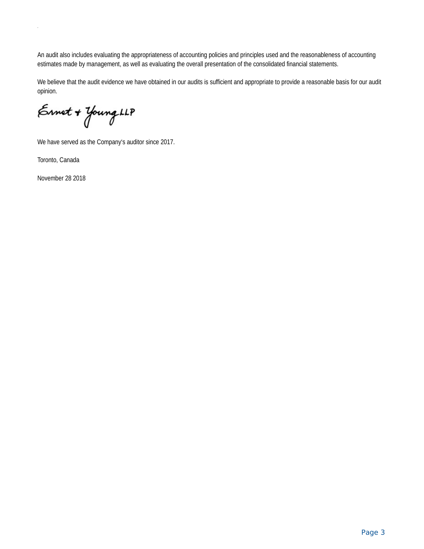An audit also includes evaluating the appropriateness of accounting policies and principles used and the reasonableness of accounting estimates made by management, as well as evaluating the overall presentation of the consolidated financial statements.

We believe that the audit evidence we have obtained in our audits is sufficient and appropriate to provide a reasonable basis for our audit opinion.

Ernet + Young LLP

We have served as the Company's auditor since 2017.

Toronto, Canada

.

November 28 2018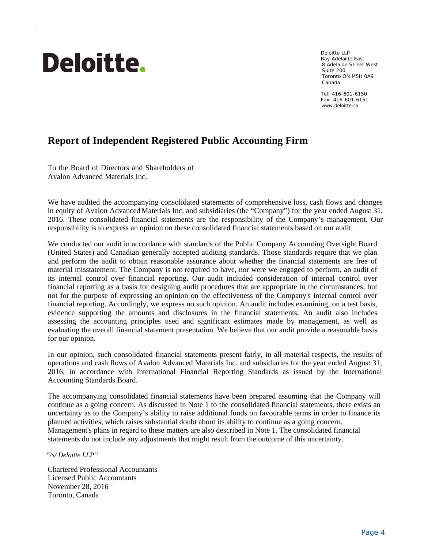# **Deloitte.**

.

Deloitte LLP Bay Adelaide East 8 Adelaide Street West Suite 200 Toronto ON M5H 0A9 Canada

Tel: 416-601-6150 Fax: 416-601-6151 www.deloitte.ca

# **Report of Independent Registered Public Accounting Firm**

To the Board of Directors and Shareholders of Avalon Advanced Materials Inc.

We have audited the accompanying consolidated statements of comprehensive loss, cash flows and changes in equity of Avalon Advanced Materials Inc. and subsidiaries (the "Company") for the year ended August 31, 2016. These consolidated financial statements are the responsibility of the Company's management. Our responsibility is to express an opinion on these consolidated financial statements based on our audit.

We conducted our audit in accordance with standards of the Public Company Accounting Oversight Board (United States) and Canadian generally accepted auditing standards. Those standards require that we plan and perform the audit to obtain reasonable assurance about whether the financial statements are free of material misstatement. The Company is not required to have, nor were we engaged to perform, an audit of its internal control over financial reporting. Our audit included consideration of internal control over financial reporting as a basis for designing audit procedures that are appropriate in the circumstances, but not for the purpose of expressing an opinion on the effectiveness of the Company's internal control over financial reporting. Accordingly, we express no such opinion. An audit includes examining, on a test basis, evidence supporting the amounts and disclosures in the financial statements. An audit also includes assessing the accounting principles used and significant estimates made by management, as well as evaluating the overall financial statement presentation. We believe that our audit provide a reasonable basis for our opinion.

In our opinion, such consolidated financial statements present fairly, in all material respects, the results of operations and cash flows of Avalon Advanced Materials Inc. and subsidiaries for the year ended August 31, 2016, in accordance with International Financial Reporting Standards as issued by the International Accounting Standards Board.

The accompanying consolidated financial statements have been prepared assuming that the Company will continue as a going concern. As discussed in Note 1 to the consolidated financial statements, there exists an uncertainty as to the Company's ability to raise additional funds on favourable terms in order to finance its planned activities, which raises substantial doubt about its ability to continue as a going concern. Management's plans in regard to these matters are also described in Note 1. The consolidated financial statements do not include any adjustments that might result from the outcome of this uncertainty.

 *"/s/ Deloitte LLP"* 

Chartered Professional Accountants Licensed Public Accountants November 28, 2016 Toronto, Canada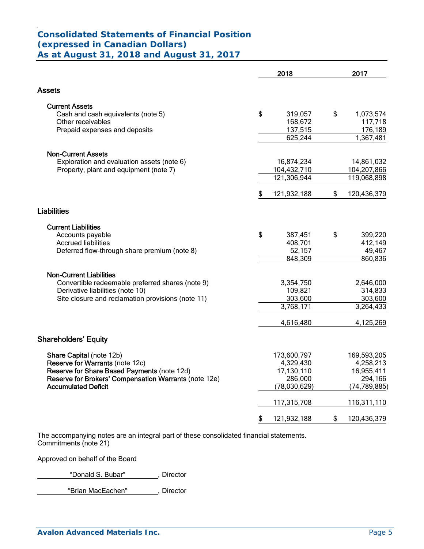#### . **Consolidated Statements of Financial Position (expressed in Canadian Dollars) As at August 31, 2018 and August 31, 2017**

|                                                       | 2018              | 2017              |
|-------------------------------------------------------|-------------------|-------------------|
| Assets                                                |                   |                   |
| <b>Current Assets</b>                                 |                   |                   |
| Cash and cash equivalents (note 5)                    | \$<br>319,057     | \$<br>1,073,574   |
| Other receivables                                     | 168,672           | 117,718           |
| Prepaid expenses and deposits                         | 137,515           | 176,189           |
|                                                       | 625,244           | 1,367,481         |
| <b>Non-Current Assets</b>                             |                   |                   |
| Exploration and evaluation assets (note 6)            | 16,874,234        | 14,861,032        |
| Property, plant and equipment (note 7)                | 104,432,710       | 104,207,866       |
|                                                       | 121,306,944       | 119,068,898       |
|                                                       | \$<br>121,932,188 | \$<br>120,436,379 |
| <b>Liabilities</b>                                    |                   |                   |
| <b>Current Liabilities</b>                            |                   |                   |
| Accounts payable                                      | \$<br>387,451     | \$<br>399,220     |
| <b>Accrued liabilities</b>                            | 408,701           | 412,149           |
| Deferred flow-through share premium (note 8)          | 52,157            | 49,467            |
|                                                       | 848,309           | 860,836           |
| <b>Non-Current Liabilities</b>                        |                   |                   |
| Convertible redeemable preferred shares (note 9)      | 3,354,750         | 2,646,000         |
| Derivative liabilities (note 10)                      | 109,821           | 314,833           |
| Site closure and reclamation provisions (note 11)     | 303,600           | 303,600           |
|                                                       | 3,768,171         | 3,264,433         |
|                                                       | 4,616,480         | 4,125,269         |
| <b>Shareholders' Equity</b>                           |                   |                   |
| Share Capital (note 12b)                              | 173,600,797       | 169,593,205       |
| Reserve for Warrants (note 12c)                       | 4,329,430         | 4,258,213         |
| Reserve for Share Based Payments (note 12d)           | 17,130,110        | 16,955,411        |
| Reserve for Brokers' Compensation Warrants (note 12e) | 286,000           | 294,166           |
| <b>Accumulated Deficit</b>                            | (78,030,629)      | (74, 789, 885)    |
|                                                       | 117,315,708       | 116,311,110       |
|                                                       | \$<br>121,932,188 | \$<br>120,436,379 |

The accompanying notes are an integral part of these consolidated financial statements. Commitments (note 21)

Approved on behalf of the Board

"Donald S. Bubar" , Director

"Brian MacEachen", Director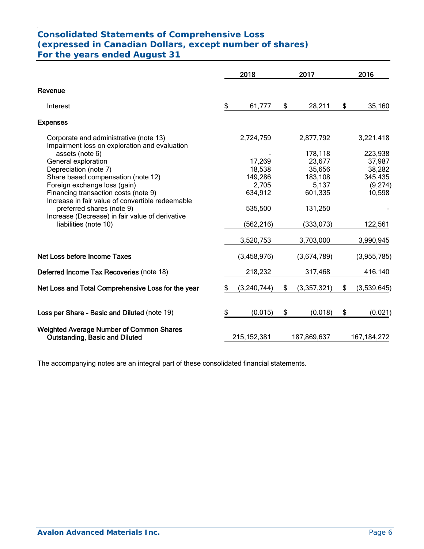#### . **Consolidated Statements of Comprehensive Loss (expressed in Canadian Dollars, except number of shares) For the years ended August 31**

| \$ | 61,777        | \$                                |             |                                            |               |
|----|---------------|-----------------------------------|-------------|--------------------------------------------|---------------|
|    |               |                                   |             |                                            |               |
|    |               |                                   | 28,211      | \$                                         | 35,160        |
|    |               |                                   |             |                                            |               |
|    | 2,724,759     |                                   | 2,877,792   |                                            | 3,221,418     |
|    |               |                                   | 178,118     |                                            | 223,938       |
|    | 17,269        |                                   | 23,677      |                                            | 37,987        |
|    | 18,538        |                                   | 35,656      |                                            | 38,282        |
|    | 149,286       |                                   |             |                                            | 345,435       |
|    |               |                                   |             |                                            | (9,274)       |
|    |               |                                   |             |                                            | 10,598        |
|    | 535,500       |                                   | 131,250     |                                            |               |
|    | (562, 216)    |                                   | (333,073)   |                                            | 122,561       |
|    | 3,520,753     |                                   | 3,703,000   |                                            | 3,990,945     |
|    | (3,458,976)   |                                   | (3,674,789) |                                            | (3,955,785)   |
|    | 218,232       |                                   | 317,468     |                                            | 416,140       |
| S  | (3, 240, 744) | \$                                | (3,357,321) | \$                                         | (3,539,645)   |
| \$ | (0.015)       | \$                                | (0.018)     | \$                                         | (0.021)       |
|    |               |                                   |             |                                            | 167, 184, 272 |
|    |               | 2,705<br>634,912<br>215, 152, 381 |             | 183,108<br>5,137<br>601,335<br>187,869,637 |               |

The accompanying notes are an integral part of these consolidated financial statements.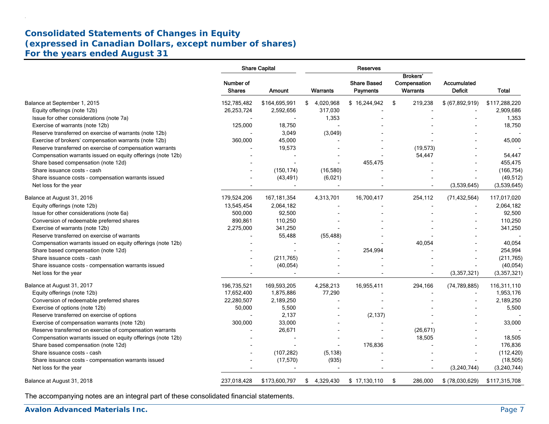# **Consolidated Statements of Changes in Equity (expressed in Canadian Dollars, except number of shares) For the years ended August 31**

|                                                             |                            | <b>Share Capital</b>     | Reserves       |                                       |                                             |                               |               |  |  |
|-------------------------------------------------------------|----------------------------|--------------------------|----------------|---------------------------------------|---------------------------------------------|-------------------------------|---------------|--|--|
|                                                             | Number of<br><b>Shares</b> | Amount                   | Warrants       | <b>Share Based</b><br><b>Payments</b> | <b>Brokers'</b><br>Compensation<br>Warrants | Accumulated<br><b>Deficit</b> | Total         |  |  |
| Balance at September 1, 2015                                | 152,785,482                | \$164,695,991            | \$4,020,968    | \$16,244,942                          | \$<br>219,238                               | \$ (67,892,919)               | \$117,288,220 |  |  |
| Equity offerings (note 12b)                                 | 26,253,724                 | 2,592,656                | 317,030        |                                       |                                             |                               | 2,909,686     |  |  |
| Issue for other considerations (note 7a)                    |                            |                          | 1,353          |                                       |                                             |                               | 1,353         |  |  |
| Exercise of warrants (note 12b)                             | 125,000                    | 18,750                   | $\overline{a}$ |                                       |                                             |                               | 18,750        |  |  |
| Reserve transferred on exercise of warrants (note 12b)      |                            | 3,049                    | (3,049)        |                                       |                                             |                               |               |  |  |
| Exercise of brokers' compensation warrants (note 12b)       | 360,000                    | 45,000                   |                |                                       |                                             |                               | 45,000        |  |  |
| Reserve transferred on exercise of compensation warrants    |                            | 19,573                   |                |                                       | (19, 573)                                   |                               |               |  |  |
| Compensation warrants issued on equity offerings (note 12b) |                            |                          |                |                                       | 54,447                                      |                               | 54,447        |  |  |
| Share based compensation (note 12d)                         |                            |                          |                | 455,475                               |                                             |                               | 455,475       |  |  |
| Share issuance costs - cash                                 |                            | (150, 174)               | (16, 580)      |                                       |                                             |                               | (166, 754)    |  |  |
| Share issuance costs - compensation warrants issued         |                            | (43, 491)                | (6,021)        |                                       |                                             |                               | (49, 512)     |  |  |
| Net loss for the year                                       |                            |                          |                |                                       |                                             | (3,539,645)                   | (3,539,645)   |  |  |
| Balance at August 31, 2016                                  | 179,524,206                | 167, 181, 354            | 4,313,701      | 16,700,417                            | 254,112                                     | (71, 432, 564)                | 117,017,020   |  |  |
| Equity offerings (note 12b)                                 | 13,545,454                 | 2,064,182                |                |                                       |                                             |                               | 2,064,182     |  |  |
| Issue for other considerations (note 6a)                    | 500,000                    | 92,500                   |                |                                       |                                             |                               | 92,500        |  |  |
| Conversion of redeemable preferred shares                   | 890,861                    | 110,250                  |                |                                       |                                             |                               | 110,250       |  |  |
| Exercise of warrants (note 12b)                             | 2,275,000                  | 341,250                  |                |                                       |                                             |                               | 341,250       |  |  |
| Reserve transferred on exercise of warrants                 |                            | 55,488                   | (55, 488)      |                                       |                                             |                               |               |  |  |
| Compensation warrants issued on equity offerings (note 12b) |                            |                          |                |                                       | 40,054                                      |                               | 40,054        |  |  |
| Share based compensation (note 12d)                         |                            |                          |                | 254,994                               |                                             |                               | 254,994       |  |  |
| Share issuance costs - cash                                 |                            | (211,765)                |                |                                       |                                             |                               | (211, 765)    |  |  |
| Share issuance costs - compensation warrants issued         |                            | (40, 054)                |                |                                       |                                             |                               | (40, 054)     |  |  |
| Net loss for the year                                       |                            | $\overline{\phantom{a}}$ | $\blacksquare$ |                                       |                                             | (3,357,321)                   | (3,357,321)   |  |  |
| Balance at August 31, 2017                                  | 196,735,521                | 169,593,205              | 4,258,213      | 16,955,411                            | 294,166                                     | (74, 789, 885)                | 116,311,110   |  |  |
| Equity offerings (note 12b)                                 | 17,652,400                 | 1,875,886                | 77,290         |                                       |                                             |                               | 1,953,176     |  |  |
| Conversion of redeemable preferred shares                   | 22,280,507                 | 2,189,250                |                |                                       |                                             |                               | 2,189,250     |  |  |
| Exercise of options (note 12b)                              | 50,000                     | 5,500                    |                |                                       |                                             |                               | 5,500         |  |  |
| Reserve transferred on exercise of options                  |                            | 2,137                    |                | (2, 137)                              |                                             |                               |               |  |  |
| Exercise of compensation warrants (note 12b)                | 300,000                    | 33,000                   |                |                                       |                                             |                               | 33,000        |  |  |
| Reserve transferred on exercise of compensation warrants    |                            | 26,671                   |                |                                       | (26, 671)                                   |                               |               |  |  |
| Compensation warrants issued on equity offerings (note 12b) |                            |                          |                |                                       | 18,505                                      |                               | 18,505        |  |  |
| Share based compensation (note 12d)                         |                            |                          |                | 176,836                               |                                             |                               | 176,836       |  |  |
| Share issuance costs - cash                                 |                            | (107, 282)               | (5, 138)       |                                       |                                             |                               | (112, 420)    |  |  |
| Share issuance costs - compensation warrants issued         |                            | (17, 570)                | (935)          |                                       |                                             |                               | (18, 505)     |  |  |
| Net loss for the year                                       |                            |                          |                |                                       |                                             | (3,240,744)                   | (3,240,744)   |  |  |
| Balance at August 31, 2018                                  | 237,018,428                | \$173,600,797            | \$4,329,430    | \$17,130,110                          | \$<br>286,000                               | \$ (78,030,629)               | \$117,315,708 |  |  |

The accompanying notes are an integral part of these consolidated financial statements.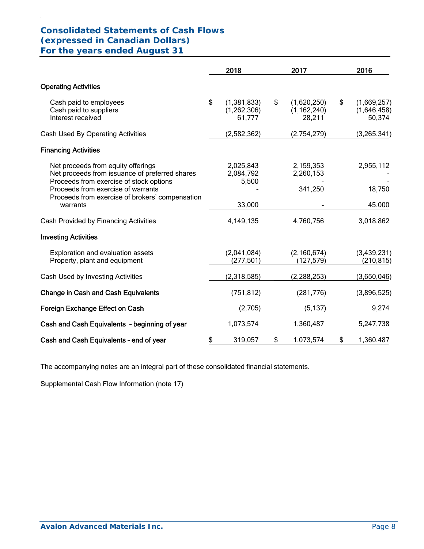# **Consolidated Statements of Cash Flows (expressed in Canadian Dollars) For the years ended August 31**

.

|                                                                                                                                                                                                                                      | 2018                                         | 2017                                         | 2016                                       |
|--------------------------------------------------------------------------------------------------------------------------------------------------------------------------------------------------------------------------------------|----------------------------------------------|----------------------------------------------|--------------------------------------------|
| <b>Operating Activities</b>                                                                                                                                                                                                          |                                              |                                              |                                            |
| Cash paid to employees<br>Cash paid to suppliers<br>Interest received                                                                                                                                                                | \$<br>(1, 381, 833)<br>(1,262,306)<br>61,777 | \$<br>(1,620,250)<br>(1, 162, 240)<br>28,211 | \$<br>(1,669,257)<br>(1,646,458)<br>50,374 |
| Cash Used By Operating Activities                                                                                                                                                                                                    | (2,582,362)                                  | (2,754,279)                                  | (3,265,341)                                |
| <b>Financing Activities</b>                                                                                                                                                                                                          |                                              |                                              |                                            |
| Net proceeds from equity offerings<br>Net proceeds from issuance of preferred shares<br>Proceeds from exercise of stock options<br>Proceeds from exercise of warrants<br>Proceeds from exercise of brokers' compensation<br>warrants | 2,025,843<br>2,084,792<br>5,500<br>33,000    | 2,159,353<br>2,260,153<br>341,250            | 2,955,112<br>18,750<br>45,000              |
| Cash Provided by Financing Activities                                                                                                                                                                                                | 4,149,135                                    | 4,760,756                                    | 3,018,862                                  |
| <b>Investing Activities</b>                                                                                                                                                                                                          |                                              |                                              |                                            |
| Exploration and evaluation assets<br>Property, plant and equipment                                                                                                                                                                   | (2,041,084)<br>(277, 501)                    | (2, 160, 674)<br>(127, 579)                  | (3,439,231)<br>(210, 815)                  |
| Cash Used by Investing Activities                                                                                                                                                                                                    | (2,318,585)                                  | (2, 288, 253)                                | (3,650,046)                                |
| <b>Change in Cash and Cash Equivalents</b>                                                                                                                                                                                           | (751, 812)                                   | (281, 776)                                   | (3,896,525)                                |
| Foreign Exchange Effect on Cash                                                                                                                                                                                                      | (2,705)                                      | (5, 137)                                     | 9,274                                      |
| Cash and Cash Equivalents - beginning of year                                                                                                                                                                                        | 1,073,574                                    | 1,360,487                                    | 5,247,738                                  |
| Cash and Cash Equivalents - end of year                                                                                                                                                                                              | \$<br>319,057                                | \$<br>1,073,574                              | \$<br>1,360,487                            |

The accompanying notes are an integral part of these consolidated financial statements.

Supplemental Cash Flow Information (note 17)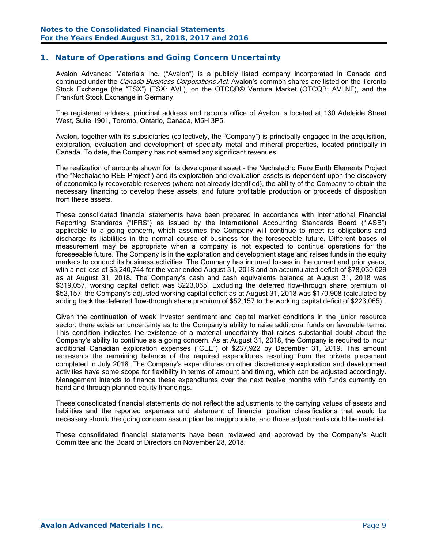# **1. Nature of Operations and Going Concern Uncertainty**

Avalon Advanced Materials Inc. ("Avalon") is a publicly listed company incorporated in Canada and continued under the *Canada Business Corporations Act*. Avalon's common shares are listed on the Toronto Stock Exchange (the "TSX") (TSX: AVL), on the OTCQB® Venture Market (OTCQB: AVLNF), and the Frankfurt Stock Exchange in Germany.

The registered address, principal address and records office of Avalon is located at 130 Adelaide Street West, Suite 1901, Toronto, Ontario, Canada, M5H 3P5.

Avalon, together with its subsidiaries (collectively, the "Company") is principally engaged in the acquisition, exploration, evaluation and development of specialty metal and mineral properties, located principally in Canada. To date, the Company has not earned any significant revenues.

The realization of amounts shown for its development asset – the Nechalacho Rare Earth Elements Project (the "Nechalacho REE Project") and its exploration and evaluation assets is dependent upon the discovery of economically recoverable reserves (where not already identified), the ability of the Company to obtain the necessary financing to develop these assets, and future profitable production or proceeds of disposition from these assets.

These consolidated financial statements have been prepared in accordance with International Financial Reporting Standards ("IFRS") as issued by the International Accounting Standards Board ("IASB") applicable to a going concern, which assumes the Company will continue to meet its obligations and discharge its liabilities in the normal course of business for the foreseeable future. Different bases of measurement may be appropriate when a company is not expected to continue operations for the foreseeable future. The Company is in the exploration and development stage and raises funds in the equity markets to conduct its business activities. The Company has incurred losses in the current and prior years, with a net loss of \$3,240,744 for the year ended August 31, 2018 and an accumulated deficit of \$78,030,629 as at August 31, 2018. The Company's cash and cash equivalents balance at August 31, 2018 was \$319,057, working capital deficit was \$223,065. Excluding the deferred flow-through share premium of \$52,157, the Company's adjusted working capital deficit as at August 31, 2018 was \$170,908 (calculated by adding back the deferred flow-through share premium of \$52,157 to the working capital deficit of \$223,065).

Given the continuation of weak investor sentiment and capital market conditions in the junior resource sector, there exists an uncertainty as to the Company's ability to raise additional funds on favorable terms. This condition indicates the existence of a material uncertainty that raises substantial doubt about the Company's ability to continue as a going concern. As at August 31, 2018, the Company is required to incur additional Canadian exploration expenses ("CEE") of \$237,922 by December 31, 2019. This amount represents the remaining balance of the required expenditures resulting from the private placement completed in July 2018. The Company's expenditures on other discretionary exploration and development activities have some scope for flexibility in terms of amount and timing, which can be adjusted accordingly. Management intends to finance these expenditures over the next twelve months with funds currently on hand and through planned equity financings.

These consolidated financial statements do not reflect the adjustments to the carrying values of assets and liabilities and the reported expenses and statement of financial position classifications that would be necessary should the going concern assumption be inappropriate, and those adjustments could be material.

These consolidated financial statements have been reviewed and approved by the Company's Audit Committee and the Board of Directors on November 28, 2018.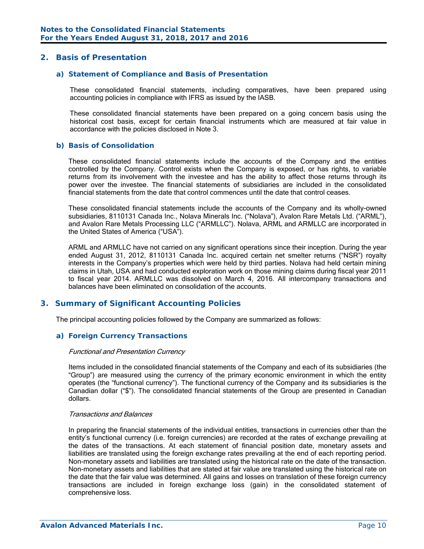## **2. Basis of Presentation**

#### *a) Statement of Compliance and Basis of Presentation*

These consolidated financial statements, including comparatives, have been prepared using accounting policies in compliance with IFRS as issued by the IASB.

These consolidated financial statements have been prepared on a going concern basis using the historical cost basis, except for certain financial instruments which are measured at fair value in accordance with the policies disclosed in Note 3.

#### *b) Basis of Consolidation*

These consolidated financial statements include the accounts of the Company and the entities controlled by the Company. Control exists when the Company is exposed, or has rights, to variable returns from its involvement with the investee and has the ability to affect those returns through its power over the investee. The financial statements of subsidiaries are included in the consolidated financial statements from the date that control commences until the date that control ceases.

These consolidated financial statements include the accounts of the Company and its wholly-owned subsidiaries, 8110131 Canada Inc., Nolava Minerals Inc. ("Nolava"), Avalon Rare Metals Ltd. ("ARML"), and Avalon Rare Metals Processing LLC ("ARMLLC"). Nolava, ARML and ARMLLC are incorporated in the United States of America ("USA").

ARML and ARMLLC have not carried on any significant operations since their inception. During the year ended August 31, 2012, 8110131 Canada Inc. acquired certain net smelter returns ("NSR") royalty interests in the Company's properties which were held by third parties. Nolava had held certain mining claims in Utah, USA and had conducted exploration work on those mining claims during fiscal year 2011 to fiscal year 2014. ARMLLC was dissolved on March 4, 2016. All intercompany transactions and balances have been eliminated on consolidation of the accounts.

#### **3. Summary of Significant Accounting Policies**

The principal accounting policies followed by the Company are summarized as follows:

#### *a) Foreign Currency Transactions*

#### Functional and Presentation Currency

Items included in the consolidated financial statements of the Company and each of its subsidiaries (the "Group") are measured using the currency of the primary economic environment in which the entity operates (the "functional currency"). The functional currency of the Company and its subsidiaries is the Canadian dollar ("\$"). The consolidated financial statements of the Group are presented in Canadian dollars.

#### Transactions and Balances

In preparing the financial statements of the individual entities, transactions in currencies other than the entity's functional currency (i.e. foreign currencies) are recorded at the rates of exchange prevailing at the dates of the transactions. At each statement of financial position date, monetary assets and liabilities are translated using the foreign exchange rates prevailing at the end of each reporting period. Non-monetary assets and liabilities are translated using the historical rate on the date of the transaction. Non-monetary assets and liabilities that are stated at fair value are translated using the historical rate on the date that the fair value was determined. All gains and losses on translation of these foreign currency transactions are included in foreign exchange loss (gain) in the consolidated statement of comprehensive loss.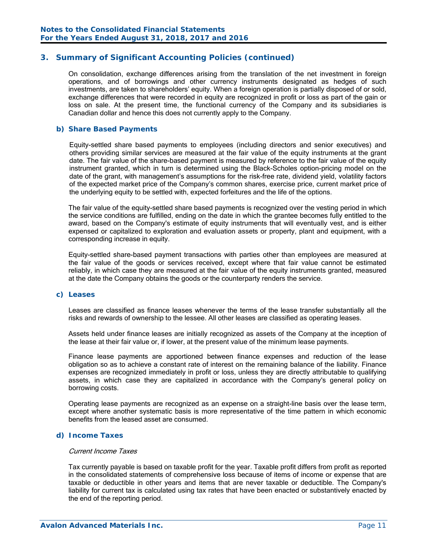On consolidation, exchange differences arising from the translation of the net investment in foreign operations, and of borrowings and other currency instruments designated as hedges of such investments, are taken to shareholders' equity. When a foreign operation is partially disposed of or sold, exchange differences that were recorded in equity are recognized in profit or loss as part of the gain or loss on sale. At the present time, the functional currency of the Company and its subsidiaries is Canadian dollar and hence this does not currently apply to the Company.

#### *b) Share Based Payments*

Equity-settled share based payments to employees (including directors and senior executives) and others providing similar services are measured at the fair value of the equity instruments at the grant date. The fair value of the share-based payment is measured by reference to the fair value of the equity instrument granted, which in turn is determined using the Black-Scholes option-pricing model on the date of the grant, with management's assumptions for the risk-free rate, dividend yield, volatility factors of the expected market price of the Company's common shares, exercise price, current market price of the underlying equity to be settled with, expected forfeitures and the life of the options.

The fair value of the equity-settled share based payments is recognized over the vesting period in which the service conditions are fulfilled, ending on the date in which the grantee becomes fully entitled to the award, based on the Company's estimate of equity instruments that will eventually vest, and is either expensed or capitalized to exploration and evaluation assets or property, plant and equipment, with a corresponding increase in equity.

Equity-settled share-based payment transactions with parties other than employees are measured at the fair value of the goods or services received, except where that fair value cannot be estimated reliably, in which case they are measured at the fair value of the equity instruments granted, measured at the date the Company obtains the goods or the counterparty renders the service.

#### *c) Leases*

Leases are classified as finance leases whenever the terms of the lease transfer substantially all the risks and rewards of ownership to the lessee. All other leases are classified as operating leases.

Assets held under finance leases are initially recognized as assets of the Company at the inception of the lease at their fair value or, if lower, at the present value of the minimum lease payments.

Finance lease payments are apportioned between finance expenses and reduction of the lease obligation so as to achieve a constant rate of interest on the remaining balance of the liability. Finance expenses are recognized immediately in profit or loss, unless they are directly attributable to qualifying assets, in which case they are capitalized in accordance with the Company's general policy on borrowing costs.

Operating lease payments are recognized as an expense on a straight-line basis over the lease term, except where another systematic basis is more representative of the time pattern in which economic benefits from the leased asset are consumed.

#### *d) Income Taxes*

#### Current Income Taxes

Tax currently payable is based on taxable profit for the year. Taxable profit differs from profit as reported in the consolidated statements of comprehensive loss because of items of income or expense that are taxable or deductible in other years and items that are never taxable or deductible. The Company's liability for current tax is calculated using tax rates that have been enacted or substantively enacted by the end of the reporting period.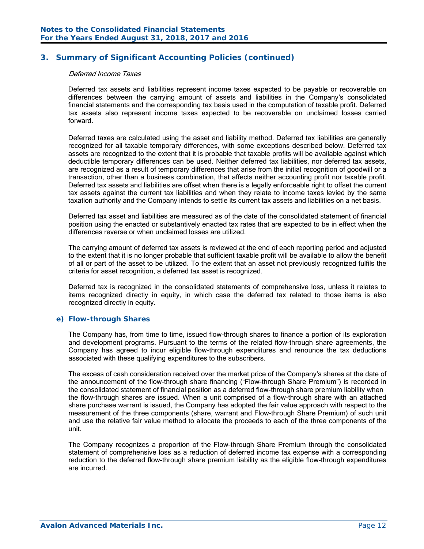#### Deferred Income Taxes

Deferred tax assets and liabilities represent income taxes expected to be payable or recoverable on differences between the carrying amount of assets and liabilities in the Company's consolidated financial statements and the corresponding tax basis used in the computation of taxable profit. Deferred tax assets also represent income taxes expected to be recoverable on unclaimed losses carried forward.

Deferred taxes are calculated using the asset and liability method. Deferred tax liabilities are generally recognized for all taxable temporary differences, with some exceptions described below. Deferred tax assets are recognized to the extent that it is probable that taxable profits will be available against which deductible temporary differences can be used. Neither deferred tax liabilities, nor deferred tax assets, are recognized as a result of temporary differences that arise from the initial recognition of goodwill or a transaction, other than a business combination, that affects neither accounting profit nor taxable profit. Deferred tax assets and liabilities are offset when there is a legally enforceable right to offset the current tax assets against the current tax liabilities and when they relate to income taxes levied by the same taxation authority and the Company intends to settle its current tax assets and liabilities on a net basis.

Deferred tax asset and liabilities are measured as of the date of the consolidated statement of financial position using the enacted or substantively enacted tax rates that are expected to be in effect when the differences reverse or when unclaimed losses are utilized.

The carrying amount of deferred tax assets is reviewed at the end of each reporting period and adjusted to the extent that it is no longer probable that sufficient taxable profit will be available to allow the benefit of all or part of the asset to be utilized. To the extent that an asset not previously recognized fulfils the criteria for asset recognition, a deferred tax asset is recognized.

Deferred tax is recognized in the consolidated statements of comprehensive loss, unless it relates to items recognized directly in equity, in which case the deferred tax related to those items is also recognized directly in equity.

#### *e) Flow-through Shares*

The Company has, from time to time, issued flow-through shares to finance a portion of its exploration and development programs. Pursuant to the terms of the related flow-through share agreements, the Company has agreed to incur eligible flow-through expenditures and renounce the tax deductions associated with these qualifying expenditures to the subscribers.

The excess of cash consideration received over the market price of the Company's shares at the date of the announcement of the flow-through share financing ("Flow-through Share Premium") is recorded in the consolidated statement of financial position as a deferred flow-through share premium liability when the flow-through shares are issued. When a unit comprised of a flow-through share with an attached share purchase warrant is issued, the Company has adopted the fair value approach with respect to the measurement of the three components (share, warrant and Flow-through Share Premium) of such unit and use the relative fair value method to allocate the proceeds to each of the three components of the unit.

The Company recognizes a proportion of the Flow-through Share Premium through the consolidated statement of comprehensive loss as a reduction of deferred income tax expense with a corresponding reduction to the deferred flow-through share premium liability as the eligible flow-through expenditures are incurred.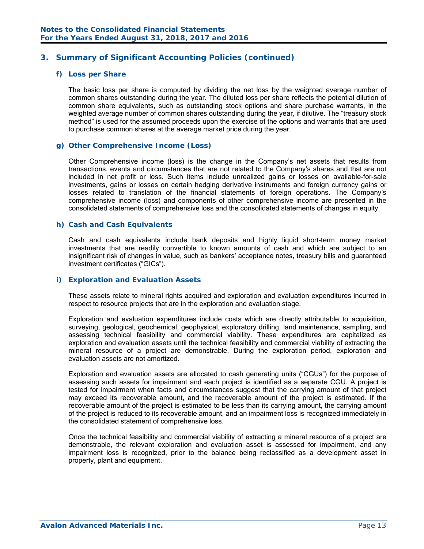## *f) Loss per Share*

The basic loss per share is computed by dividing the net loss by the weighted average number of common shares outstanding during the year. The diluted loss per share reflects the potential dilution of common share equivalents, such as outstanding stock options and share purchase warrants, in the weighted average number of common shares outstanding during the year, if dilutive. The "treasury stock method" is used for the assumed proceeds upon the exercise of the options and warrants that are used to purchase common shares at the average market price during the year.

#### *g) Other Comprehensive Income (Loss)*

Other Comprehensive income (loss) is the change in the Company's net assets that results from transactions, events and circumstances that are not related to the Company's shares and that are not included in net profit or loss. Such items include unrealized gains or losses on available-for-sale investments, gains or losses on certain hedging derivative instruments and foreign currency gains or losses related to translation of the financial statements of foreign operations. The Company's comprehensive income (loss) and components of other comprehensive income are presented in the consolidated statements of comprehensive loss and the consolidated statements of changes in equity.

#### *h) Cash and Cash Equivalents*

Cash and cash equivalents include bank deposits and highly liquid short-term money market investments that are readily convertible to known amounts of cash and which are subject to an insignificant risk of changes in value, such as bankers' acceptance notes, treasury bills and guaranteed investment certificates ("GICs").

#### *i) Exploration and Evaluation Assets*

These assets relate to mineral rights acquired and exploration and evaluation expenditures incurred in respect to resource projects that are in the exploration and evaluation stage.

Exploration and evaluation expenditures include costs which are directly attributable to acquisition, surveying, geological, geochemical, geophysical, exploratory drilling, land maintenance, sampling, and assessing technical feasibility and commercial viability. These expenditures are capitalized as exploration and evaluation assets until the technical feasibility and commercial viability of extracting the mineral resource of a project are demonstrable. During the exploration period, exploration and evaluation assets are not amortized.

 Exploration and evaluation assets are allocated to cash generating units ("CGUs") for the purpose of assessing such assets for impairment and each project is identified as a separate CGU. A project is tested for impairment when facts and circumstances suggest that the carrying amount of that project may exceed its recoverable amount, and the recoverable amount of the project is estimated. If the recoverable amount of the project is estimated to be less than its carrying amount, the carrying amount of the project is reduced to its recoverable amount, and an impairment loss is recognized immediately in the consolidated statement of comprehensive loss.

 Once the technical feasibility and commercial viability of extracting a mineral resource of a project are demonstrable, the relevant exploration and evaluation asset is assessed for impairment, and any impairment loss is recognized, prior to the balance being reclassified as a development asset in property, plant and equipment.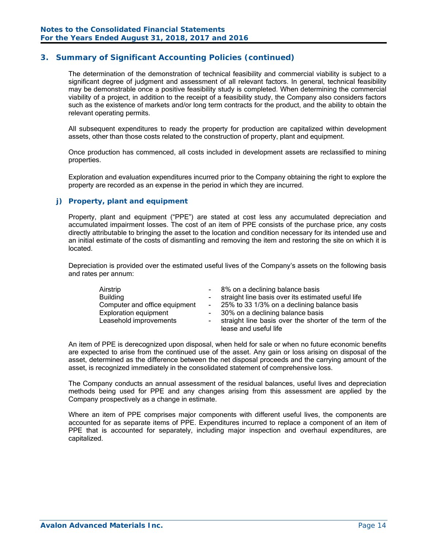The determination of the demonstration of technical feasibility and commercial viability is subject to a significant degree of judgment and assessment of all relevant factors. In general, technical feasibility may be demonstrable once a positive feasibility study is completed. When determining the commercial viability of a project, in addition to the receipt of a feasibility study, the Company also considers factors such as the existence of markets and/or long term contracts for the product, and the ability to obtain the relevant operating permits.

All subsequent expenditures to ready the property for production are capitalized within development assets, other than those costs related to the construction of property, plant and equipment.

Once production has commenced, all costs included in development assets are reclassified to mining properties.

Exploration and evaluation expenditures incurred prior to the Company obtaining the right to explore the property are recorded as an expense in the period in which they are incurred.

#### *j) Property, plant and equipment*

Property, plant and equipment ("PPE") are stated at cost less any accumulated depreciation and accumulated impairment losses. The cost of an item of PPE consists of the purchase price, any costs directly attributable to bringing the asset to the location and condition necessary for its intended use and an initial estimate of the costs of dismantling and removing the item and restoring the site on which it is located.

Depreciation is provided over the estimated useful lives of the Company's assets on the following basis and rates per annum:

| Airstrip<br><b>Building</b><br>Computer and office equipment<br><b>Exploration equipment</b><br>Leasehold improvements | - 8% on a declining balance basis<br>straight line basis over its estimated useful life<br>- 25% to 33 1/3% on a declining balance basis<br>- 30% on a declining balance basis<br>straight line basis over the shorter of the term of the |
|------------------------------------------------------------------------------------------------------------------------|-------------------------------------------------------------------------------------------------------------------------------------------------------------------------------------------------------------------------------------------|
|                                                                                                                        | lease and useful life                                                                                                                                                                                                                     |

An item of PPE is derecognized upon disposal, when held for sale or when no future economic benefits are expected to arise from the continued use of the asset. Any gain or loss arising on disposal of the asset, determined as the difference between the net disposal proceeds and the carrying amount of the asset, is recognized immediately in the consolidated statement of comprehensive loss.

The Company conducts an annual assessment of the residual balances, useful lives and depreciation methods being used for PPE and any changes arising from this assessment are applied by the Company prospectively as a change in estimate.

Where an item of PPE comprises major components with different useful lives, the components are accounted for as separate items of PPE. Expenditures incurred to replace a component of an item of PPE that is accounted for separately, including major inspection and overhaul expenditures, are capitalized.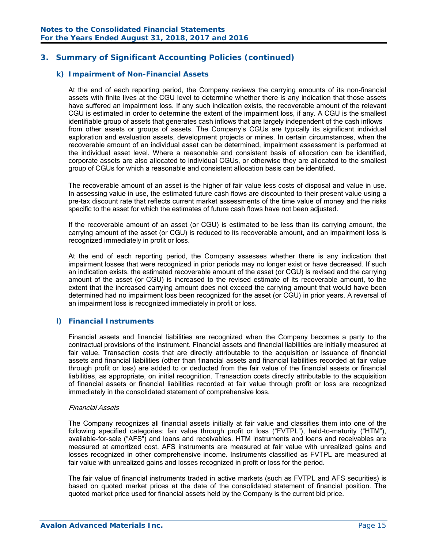## *k) Impairment of Non-Financial Assets*

At the end of each reporting period, the Company reviews the carrying amounts of its non-financial assets with finite lives at the CGU level to determine whether there is any indication that those assets have suffered an impairment loss. If any such indication exists, the recoverable amount of the relevant CGU is estimated in order to determine the extent of the impairment loss, if any. A CGU is the smallest identifiable group of assets that generates cash inflows that are largely independent of the cash inflows from other assets or groups of assets. The Company's CGUs are typically its significant individual exploration and evaluation assets, development projects or mines. In certain circumstances, when the recoverable amount of an individual asset can be determined, impairment assessment is performed at the individual asset level. Where a reasonable and consistent basis of allocation can be identified, corporate assets are also allocated to individual CGUs, or otherwise they are allocated to the smallest group of CGUs for which a reasonable and consistent allocation basis can be identified.

The recoverable amount of an asset is the higher of fair value less costs of disposal and value in use. In assessing value in use, the estimated future cash flows are discounted to their present value using a pre-tax discount rate that reflects current market assessments of the time value of money and the risks specific to the asset for which the estimates of future cash flows have not been adjusted.

If the recoverable amount of an asset (or CGU) is estimated to be less than its carrying amount, the carrying amount of the asset (or CGU) is reduced to its recoverable amount, and an impairment loss is recognized immediately in profit or loss.

At the end of each reporting period, the Company assesses whether there is any indication that impairment losses that were recognized in prior periods may no longer exist or have decreased. If such an indication exists, the estimated recoverable amount of the asset (or CGU) is revised and the carrying amount of the asset (or CGU) is increased to the revised estimate of its recoverable amount, to the extent that the increased carrying amount does not exceed the carrying amount that would have been determined had no impairment loss been recognized for the asset (or CGU) in prior years. A reversal of an impairment loss is recognized immediately in profit or loss.

#### *l) Financial Instruments*

Financial assets and financial liabilities are recognized when the Company becomes a party to the contractual provisions of the instrument. Financial assets and financial liabilities are initially measured at fair value. Transaction costs that are directly attributable to the acquisition or issuance of financial assets and financial liabilities (other than financial assets and financial liabilities recorded at fair value through profit or loss) are added to or deducted from the fair value of the financial assets or financial liabilities, as appropriate, on initial recognition. Transaction costs directly attributable to the acquisition of financial assets or financial liabilities recorded at fair value through profit or loss are recognized immediately in the consolidated statement of comprehensive loss.

#### Financial Assets

The Company recognizes all financial assets initially at fair value and classifies them into one of the following specified categories: fair value through profit or loss ("FVTPL"), held-to-maturity ("HTM"), available-for-sale ("AFS") and loans and receivables. HTM instruments and loans and receivables are measured at amortized cost. AFS instruments are measured at fair value with unrealized gains and losses recognized in other comprehensive income. Instruments classified as FVTPL are measured at fair value with unrealized gains and losses recognized in profit or loss for the period.

 The fair value of financial instruments traded in active markets (such as FVTPL and AFS securities) is based on quoted market prices at the date of the consolidated statement of financial position. The quoted market price used for financial assets held by the Company is the current bid price.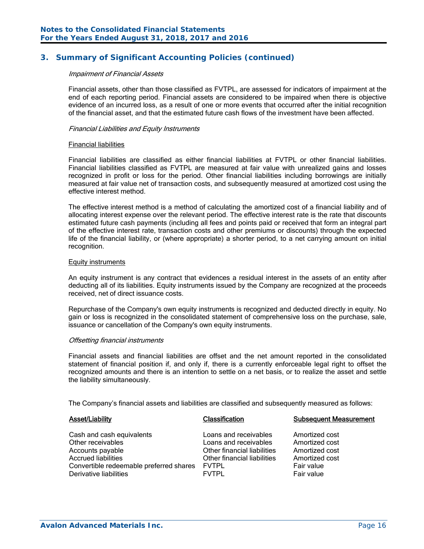#### Impairment of Financial Assets

Financial assets, other than those classified as FVTPL, are assessed for indicators of impairment at the end of each reporting period. Financial assets are considered to be impaired when there is objective evidence of an incurred loss, as a result of one or more events that occurred after the initial recognition of the financial asset, and that the estimated future cash flows of the investment have been affected.

#### Financial Liabilities and Equity Instruments

#### Financial liabilities

Financial liabilities are classified as either financial liabilities at FVTPL or other financial liabilities. Financial liabilities classified as FVTPL are measured at fair value with unrealized gains and losses recognized in profit or loss for the period. Other financial liabilities including borrowings are initially measured at fair value net of transaction costs, and subsequently measured at amortized cost using the effective interest method.

The effective interest method is a method of calculating the amortized cost of a financial liability and of allocating interest expense over the relevant period. The effective interest rate is the rate that discounts estimated future cash payments (including all fees and points paid or received that form an integral part of the effective interest rate, transaction costs and other premiums or discounts) through the expected life of the financial liability, or (where appropriate) a shorter period, to a net carrying amount on initial recognition.

#### Equity instruments

An equity instrument is any contract that evidences a residual interest in the assets of an entity after deducting all of its liabilities. Equity instruments issued by the Company are recognized at the proceeds received, net of direct issuance costs.

Repurchase of the Company's own equity instruments is recognized and deducted directly in equity. No gain or loss is recognized in the consolidated statement of comprehensive loss on the purchase, sale, issuance or cancellation of the Company's own equity instruments.

#### Offsetting financial instruments

Financial assets and financial liabilities are offset and the net amount reported in the consolidated statement of financial position if, and only if, there is a currently enforceable legal right to offset the recognized amounts and there is an intention to settle on a net basis, or to realize the asset and settle the liability simultaneously.

The Company's financial assets and liabilities are classified and subsequently measured as follows:

| <b>Asset/Liability</b>                                                                                                                                                | <b>Classification</b>                                                                                                                        | <b>Subsequent Measurement</b>                                                                    |
|-----------------------------------------------------------------------------------------------------------------------------------------------------------------------|----------------------------------------------------------------------------------------------------------------------------------------------|--------------------------------------------------------------------------------------------------|
| Cash and cash equivalents<br>Other receivables<br>Accounts payable<br><b>Accrued liabilities</b><br>Convertible redeemable preferred shares<br>Derivative liabilities | Loans and receivables<br>Loans and receivables<br>Other financial liabilities<br>Other financial liabilities<br><b>FVTPL</b><br><b>FVTPL</b> | Amortized cost<br>Amortized cost<br>Amortized cost<br>Amortized cost<br>Fair value<br>Fair value |
|                                                                                                                                                                       |                                                                                                                                              |                                                                                                  |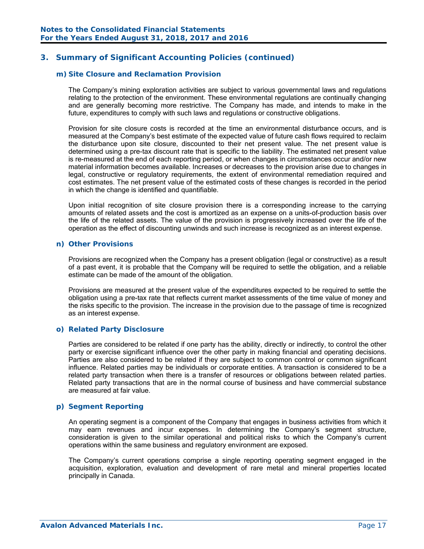#### *m) Site Closure and Reclamation Provision*

The Company's mining exploration activities are subject to various governmental laws and regulations relating to the protection of the environment. These environmental regulations are continually changing and are generally becoming more restrictive. The Company has made, and intends to make in the future, expenditures to comply with such laws and regulations or constructive obligations.

Provision for site closure costs is recorded at the time an environmental disturbance occurs, and is measured at the Company's best estimate of the expected value of future cash flows required to reclaim the disturbance upon site closure, discounted to their net present value. The net present value is determined using a pre-tax discount rate that is specific to the liability. The estimated net present value is re-measured at the end of each reporting period, or when changes in circumstances occur and/or new material information becomes available. Increases or decreases to the provision arise due to changes in legal, constructive or regulatory requirements, the extent of environmental remediation required and cost estimates. The net present value of the estimated costs of these changes is recorded in the period in which the change is identified and quantifiable.

Upon initial recognition of site closure provision there is a corresponding increase to the carrying amounts of related assets and the cost is amortized as an expense on a units-of-production basis over the life of the related assets. The value of the provision is progressively increased over the life of the operation as the effect of discounting unwinds and such increase is recognized as an interest expense.

#### *n) Other Provisions*

 Provisions are recognized when the Company has a present obligation (legal or constructive) as a result of a past event, it is probable that the Company will be required to settle the obligation, and a reliable estimate can be made of the amount of the obligation.

 Provisions are measured at the present value of the expenditures expected to be required to settle the obligation using a pre-tax rate that reflects current market assessments of the time value of money and the risks specific to the provision. The increase in the provision due to the passage of time is recognized as an interest expense.

#### *o) Related Party Disclosure*

 Parties are considered to be related if one party has the ability, directly or indirectly, to control the other party or exercise significant influence over the other party in making financial and operating decisions. Parties are also considered to be related if they are subject to common control or common significant influence. Related parties may be individuals or corporate entities. A transaction is considered to be a related party transaction when there is a transfer of resources or obligations between related parties. Related party transactions that are in the normal course of business and have commercial substance are measured at fair value.

#### *p) Segment Reporting*

An operating segment is a component of the Company that engages in business activities from which it may earn revenues and incur expenses. In determining the Company's segment structure, consideration is given to the similar operational and political risks to which the Company's current operations within the same business and regulatory environment are exposed.

The Company's current operations comprise a single reporting operating segment engaged in the acquisition, exploration, evaluation and development of rare metal and mineral properties located principally in Canada.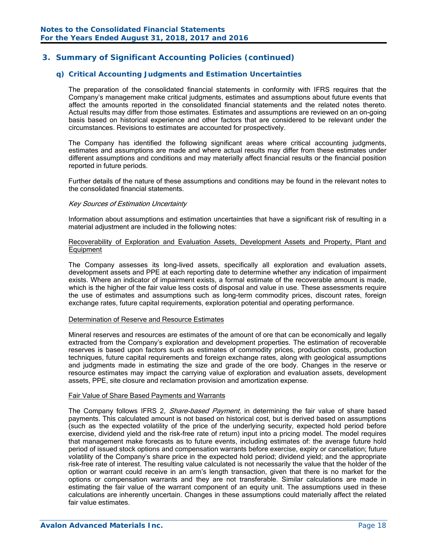# *q) Critical Accounting Judgments and Estimation Uncertainties*

 The preparation of the consolidated financial statements in conformity with IFRS requires that the Company's management make critical judgments, estimates and assumptions about future events that affect the amounts reported in the consolidated financial statements and the related notes thereto. Actual results may differ from those estimates. Estimates and assumptions are reviewed on an on-going basis based on historical experience and other factors that are considered to be relevant under the circumstances. Revisions to estimates are accounted for prospectively.

 The Company has identified the following significant areas where critical accounting judgments, estimates and assumptions are made and where actual results may differ from these estimates under different assumptions and conditions and may materially affect financial results or the financial position reported in future periods.

 Further details of the nature of these assumptions and conditions may be found in the relevant notes to the consolidated financial statements.

#### Key Sources of Estimation Uncertainty

Information about assumptions and estimation uncertainties that have a significant risk of resulting in a material adjustment are included in the following notes:

#### Recoverability of Exploration and Evaluation Assets, Development Assets and Property, Plant and Equipment

 The Company assesses its long-lived assets, specifically all exploration and evaluation assets, development assets and PPE at each reporting date to determine whether any indication of impairment exists. Where an indicator of impairment exists, a formal estimate of the recoverable amount is made, which is the higher of the fair value less costs of disposal and value in use. These assessments require the use of estimates and assumptions such as long-term commodity prices, discount rates, foreign exchange rates, future capital requirements, exploration potential and operating performance.

#### Determination of Reserve and Resource Estimates

Mineral reserves and resources are estimates of the amount of ore that can be economically and legally extracted from the Company's exploration and development properties. The estimation of recoverable reserves is based upon factors such as estimates of commodity prices, production costs, production techniques, future capital requirements and foreign exchange rates, along with geological assumptions and judgments made in estimating the size and grade of the ore body. Changes in the reserve or resource estimates may impact the carrying value of exploration and evaluation assets, development assets, PPE, site closure and reclamation provision and amortization expense.

#### Fair Value of Share Based Payments and Warrants

The Company follows IFRS 2, Share-based Payment, in determining the fair value of share based payments. This calculated amount is not based on historical cost, but is derived based on assumptions (such as the expected volatility of the price of the underlying security, expected hold period before exercise, dividend yield and the risk-free rate of return) input into a pricing model. The model requires that management make forecasts as to future events, including estimates of: the average future hold period of issued stock options and compensation warrants before exercise, expiry or cancellation; future volatility of the Company's share price in the expected hold period; dividend yield; and the appropriate risk-free rate of interest. The resulting value calculated is not necessarily the value that the holder of the option or warrant could receive in an arm's length transaction, given that there is no market for the options or compensation warrants and they are not transferable. Similar calculations are made in estimating the fair value of the warrant component of an equity unit. The assumptions used in these calculations are inherently uncertain. Changes in these assumptions could materially affect the related fair value estimates.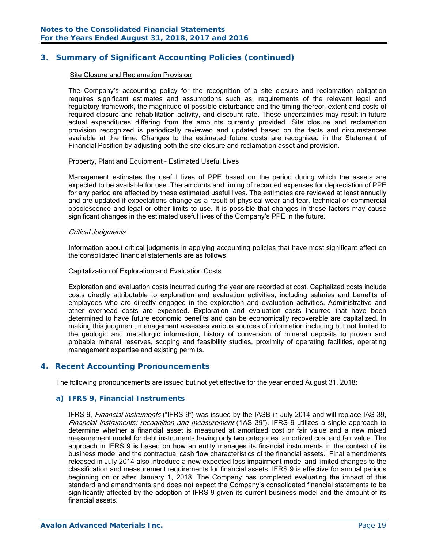#### Site Closure and Reclamation Provision

The Company's accounting policy for the recognition of a site closure and reclamation obligation requires significant estimates and assumptions such as: requirements of the relevant legal and regulatory framework, the magnitude of possible disturbance and the timing thereof, extent and costs of required closure and rehabilitation activity, and discount rate. These uncertainties may result in future actual expenditures differing from the amounts currently provided. Site closure and reclamation provision recognized is periodically reviewed and updated based on the facts and circumstances available at the time. Changes to the estimated future costs are recognized in the Statement of Financial Position by adjusting both the site closure and reclamation asset and provision.

#### Property, Plant and Equipment - Estimated Useful Lives

Management estimates the useful lives of PPE based on the period during which the assets are expected to be available for use. The amounts and timing of recorded expenses for depreciation of PPE for any period are affected by these estimated useful lives. The estimates are reviewed at least annually and are updated if expectations change as a result of physical wear and tear, technical or commercial obsolescence and legal or other limits to use. It is possible that changes in these factors may cause significant changes in the estimated useful lives of the Company's PPE in the future.

#### Critical Judgments

Information about critical judgments in applying accounting policies that have most significant effect on the consolidated financial statements are as follows:

#### Capitalization of Exploration and Evaluation Costs

Exploration and evaluation costs incurred during the year are recorded at cost. Capitalized costs include costs directly attributable to exploration and evaluation activities, including salaries and benefits of employees who are directly engaged in the exploration and evaluation activities. Administrative and other overhead costs are expensed. Exploration and evaluation costs incurred that have been determined to have future economic benefits and can be economically recoverable are capitalized. In making this judgment, management assesses various sources of information including but not limited to the geologic and metallurgic information, history of conversion of mineral deposits to proven and probable mineral reserves, scoping and feasibility studies, proximity of operating facilities, operating management expertise and existing permits.

#### **4. Recent Accounting Pronouncements**

The following pronouncements are issued but not yet effective for the year ended August 31, 2018:

#### *a) IFRS 9, Financial Instruments*

IFRS 9, *Financial instruments* ("IFRS 9") was issued by the IASB in July 2014 and will replace IAS 39, Financial Instruments: recognition and measurement ("IAS 39"). IFRS 9 utilizes a single approach to determine whether a financial asset is measured at amortized cost or fair value and a new mixed measurement model for debt instruments having only two categories: amortized cost and fair value. The approach in IFRS 9 is based on how an entity manages its financial instruments in the context of its business model and the contractual cash flow characteristics of the financial assets. Final amendments released in July 2014 also introduce a new expected loss impairment model and limited changes to the classification and measurement requirements for financial assets. IFRS 9 is effective for annual periods beginning on or after January 1, 2018. The Company has completed evaluating the impact of this standard and amendments and does not expect the Company's consolidated financial statements to be significantly affected by the adoption of IFRS 9 given its current business model and the amount of its financial assets.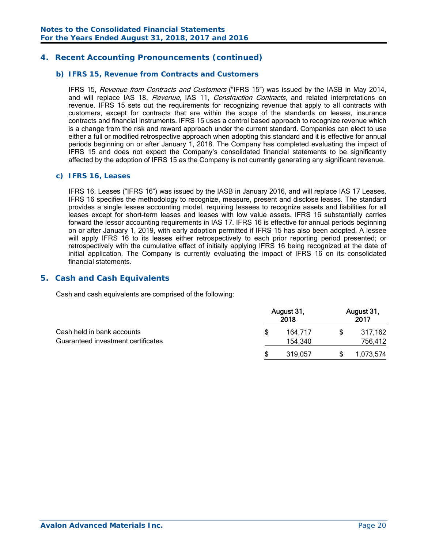# **4. Recent Accounting Pronouncements (continued)**

#### *b) IFRS 15, Revenue from Contracts and Customers*

IFRS 15, Revenue from Contracts and Customers ("IFRS 15") was issued by the IASB in May 2014, and will replace IAS 18, Revenue, IAS 11, Construction Contracts, and related interpretations on revenue. IFRS 15 sets out the requirements for recognizing revenue that apply to all contracts with customers, except for contracts that are within the scope of the standards on leases, insurance contracts and financial instruments. IFRS 15 uses a control based approach to recognize revenue which is a change from the risk and reward approach under the current standard. Companies can elect to use either a full or modified retrospective approach when adopting this standard and it is effective for annual periods beginning on or after January 1, 2018. The Company has completed evaluating the impact of IFRS 15 and does not expect the Company's consolidated financial statements to be significantly affected by the adoption of IFRS 15 as the Company is not currently generating any significant revenue.

#### *c) IFRS 16, Leases*

 IFRS 16, Leases ("IFRS 16") was issued by the IASB in January 2016, and will replace IAS 17 Leases. IFRS 16 specifies the methodology to recognize, measure, present and disclose leases. The standard provides a single lessee accounting model, requiring lessees to recognize assets and liabilities for all leases except for short-term leases and leases with low value assets. IFRS 16 substantially carries forward the lessor accounting requirements in IAS 17. IFRS 16 is effective for annual periods beginning on or after January 1, 2019, with early adoption permitted if IFRS 15 has also been adopted. A lessee will apply IFRS 16 to its leases either retrospectively to each prior reporting period presented; or retrospectively with the cumulative effect of initially applying IFRS 16 being recognized at the date of initial application. The Company is currently evaluating the impact of IFRS 16 on its consolidated financial statements.

#### **5. Cash and Cash Equivalents**

Cash and cash equivalents are comprised of the following:

|                                                                  |   | August 31,<br>2018 | August 31,<br>2017 |
|------------------------------------------------------------------|---|--------------------|--------------------|
| Cash held in bank accounts<br>Guaranteed investment certificates | S | 164.717<br>154,340 | 317,162<br>756,412 |
|                                                                  | S | 319.057            | 1,073,574          |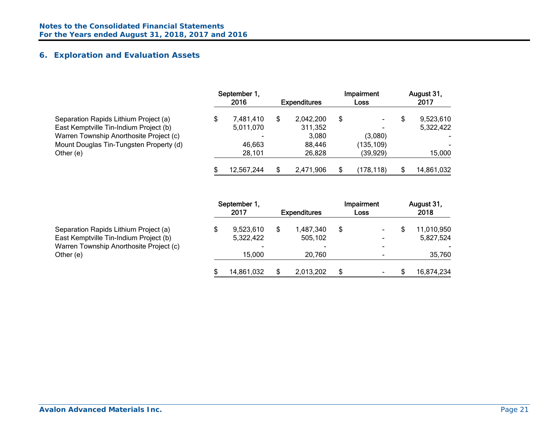# **6. Exploration and Evaluation Assets**

|                                         | September 1.<br>2016 | <b>Expenditures</b> | Impairment<br>Loss | August 31,<br>2017 |
|-----------------------------------------|----------------------|---------------------|--------------------|--------------------|
| Separation Rapids Lithium Project (a)   | 7.481.410            | 2,042,200           | \$<br>$\sim$       | 9,523,610          |
| East Kemptville Tin-Indium Project (b)  | 5,011,070            | 311,352             | -                  | 5,322,422          |
| Warren Township Anorthosite Project (c) |                      | 3,080               | (3,080)            |                    |
| Mount Douglas Tin-Tungsten Property (d) | 46,663               | 88,446              | (135, 109)         |                    |
| Other (e)                               | 28,101               | 26,828              | (39,929)           | 15,000             |
|                                         | 12,567,244           | 2,471,906           | (178.118           | 14,861,032         |

|                                         | September 1,<br>2017     | <b>Expenditures</b> |   | Impairment<br>Loss | August 31,<br>2018 |
|-----------------------------------------|--------------------------|---------------------|---|--------------------|--------------------|
| Separation Rapids Lithium Project (a)   | 9,523,610                | 1,487,340           | S | ۰                  | 11,010,950         |
| East Kemptville Tin-Indium Project (b)  | 5,322,422                | 505,102             |   | $\blacksquare$     | 5,827,524          |
| Warren Township Anorthosite Project (c) | $\overline{\phantom{0}}$ |                     |   | -                  |                    |
| Other (e)                               | 15.000                   | 20.760              |   | ٠                  | 35,760             |
|                                         | 14,861,032               | 2,013,202           |   | ٠                  | 16,874,234         |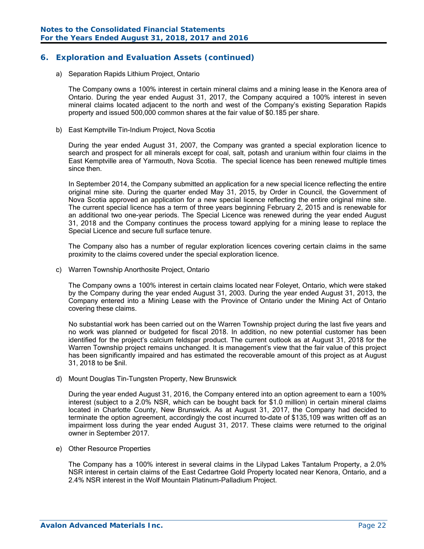# **6. Exploration and Evaluation Assets (continued)**

a) Separation Rapids Lithium Project, Ontario

The Company owns a 100% interest in certain mineral claims and a mining lease in the Kenora area of Ontario. During the year ended August 31, 2017, the Company acquired a 100% interest in seven mineral claims located adjacent to the north and west of the Company's existing Separation Rapids property and issued 500,000 common shares at the fair value of \$0.185 per share.

b) East Kemptville Tin-Indium Project, Nova Scotia

During the year ended August 31, 2007, the Company was granted a special exploration licence to search and prospect for all minerals except for coal, salt, potash and uranium within four claims in the East Kemptville area of Yarmouth, Nova Scotia. The special licence has been renewed multiple times since then.

In September 2014, the Company submitted an application for a new special licence reflecting the entire original mine site. During the quarter ended May 31, 2015, by Order in Council, the Government of Nova Scotia approved an application for a new special licence reflecting the entire original mine site. The current special licence has a term of three years beginning February 2, 2015 and is renewable for an additional two one-year periods. The Special Licence was renewed during the year ended August 31, 2018 and the Company continues the process toward applying for a mining lease to replace the Special Licence and secure full surface tenure.

The Company also has a number of regular exploration licences covering certain claims in the same proximity to the claims covered under the special exploration licence.

c) Warren Township Anorthosite Project, Ontario

The Company owns a 100% interest in certain claims located near Foleyet, Ontario, which were staked by the Company during the year ended August 31, 2003. During the year ended August 31, 2013, the Company entered into a Mining Lease with the Province of Ontario under the Mining Act of Ontario covering these claims.

No substantial work has been carried out on the Warren Township project during the last five years and no work was planned or budgeted for fiscal 2018. In addition, no new potential customer has been identified for the project's calcium feldspar product. The current outlook as at August 31, 2018 for the Warren Township project remains unchanged. It is management's view that the fair value of this project has been significantly impaired and has estimated the recoverable amount of this project as at August 31, 2018 to be \$nil.

d) Mount Douglas Tin-Tungsten Property, New Brunswick

During the year ended August 31, 2016, the Company entered into an option agreement to earn a 100% interest (subject to a 2.0% NSR, which can be bought back for \$1.0 million) in certain mineral claims located in Charlotte County, New Brunswick. As at August 31, 2017, the Company had decided to terminate the option agreement, accordingly the cost incurred to-date of \$135,109 was written off as an impairment loss during the year ended August 31, 2017. These claims were returned to the original owner in September 2017.

e) Other Resource Properties

The Company has a 100% interest in several claims in the Lilypad Lakes Tantalum Property, a 2.0% NSR interest in certain claims of the East Cedartree Gold Property located near Kenora, Ontario, and a 2.4% NSR interest in the Wolf Mountain Platinum-Palladium Project.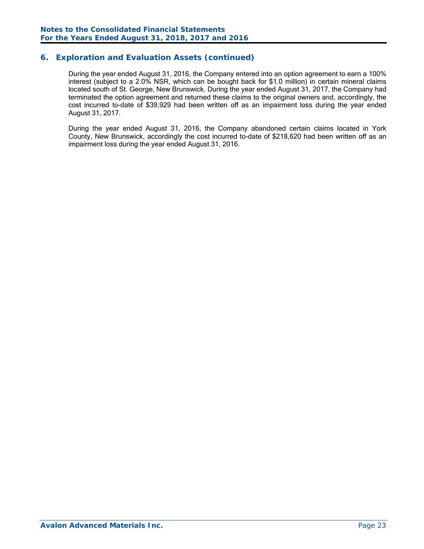# **6. Exploration and Evaluation Assets (continued)**

During the year ended August 31, 2016, the Company entered into an option agreement to earn a 100% interest (subject to a 2.0% NSR, which can be bought back for \$1.0 million) in certain mineral claims located south of St. George, New Brunswick. During the year ended August 31, 2017, the Company had terminated the option agreement and returned these claims to the original owners and, accordingly, the cost incurred to-date of \$39,929 had been written off as an impairment loss during the year ended August 31, 2017.

During the year ended August 31, 2016, the Company abandoned certain claims located in York County, New Brunswick, accordingly the cost incurred to-date of \$218,620 had been written off as an impairment loss during the year ended August 31, 2016.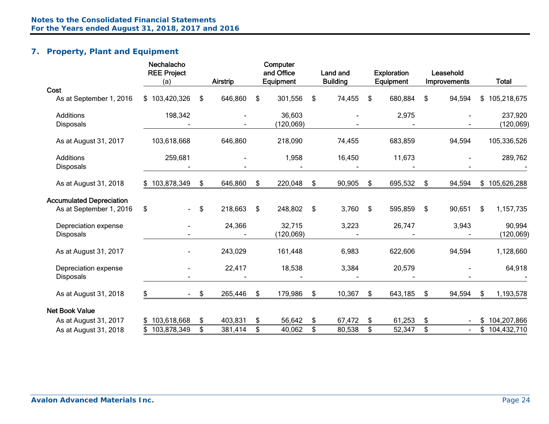# **7. Property, Plant and Equipment**

|                                 | Nechalacho<br><b>REE Project</b><br>(a) |               | <b>Airstrip</b> | Computer<br>and Office<br>Equipment | Land and<br><b>Building</b> | <b>Exploration</b><br>Equipment | Leasehold<br>Improvements | <b>Total</b>      |
|---------------------------------|-----------------------------------------|---------------|-----------------|-------------------------------------|-----------------------------|---------------------------------|---------------------------|-------------------|
| Cost                            |                                         |               |                 |                                     |                             |                                 |                           |                   |
| As at September 1, 2016         | \$103,420,326                           | \$            | 646,860         | \$<br>301,556                       | \$<br>74,455                | \$<br>680,884                   | \$<br>94,594              | \$<br>105,218,675 |
| Additions                       | 198,342                                 |               |                 | 36,603                              |                             | 2,975                           |                           | 237,920           |
| <b>Disposals</b>                |                                         |               |                 | (120, 069)                          |                             |                                 |                           | (120, 069)        |
| As at August 31, 2017           | 103,618,668                             |               | 646,860         | 218,090                             | 74,455                      | 683,859                         | 94,594                    | 105,336,526       |
| Additions<br><b>Disposals</b>   | 259,681                                 |               |                 | 1,958                               | 16,450                      | 11,673                          |                           | 289,762           |
| As at August 31, 2018           | \$103,878,349                           | \$            | 646,860         | \$<br>220,048                       | \$<br>90,905                | \$<br>695,532                   | \$<br>94,594              | \$105,626,288     |
| <b>Accumulated Depreciation</b> |                                         |               |                 |                                     |                             |                                 |                           |                   |
| As at September 1, 2016         | \$<br>$\blacksquare$                    | \$            | 218,663         | \$<br>248,802                       | \$<br>3,760                 | \$<br>595,859                   | \$<br>90,651              | \$<br>1,157,735   |
| Depreciation expense            |                                         |               | 24,366          | 32,715                              | 3,223                       | 26,747                          | 3,943                     | 90,994            |
| <b>Disposals</b>                |                                         |               |                 | (120, 069)                          |                             |                                 |                           | (120, 069)        |
| As at August 31, 2017           |                                         |               | 243,029         | 161,448                             | 6,983                       | 622,606                         | 94,594                    | 1,128,660         |
| Depreciation expense            |                                         |               | 22,417          | 18,538                              | 3,384                       | 20,579                          |                           | 64,918            |
| <b>Disposals</b>                |                                         |               |                 |                                     |                             |                                 |                           |                   |
| As at August 31, 2018           | \$<br>$\sim$                            | $\frac{1}{2}$ | 265,446         | \$<br>179,986                       | \$<br>10,367                | \$<br>643,185                   | \$<br>94,594              | \$<br>1,193,578   |
| <b>Net Book Value</b>           |                                         |               |                 |                                     |                             |                                 |                           |                   |
| As at August 31, 2017           | \$103,618,668                           | \$            | 403,831         | \$<br>56,642                        | \$<br>67,472                | \$<br>61,253                    | \$                        | \$<br>104,207,866 |
| As at August 31, 2018           | 103,878,349                             | \$            | 381,414         | \$<br>40,062                        | \$<br>80,538                | \$<br>52,347                    | \$                        | \$104,432,710     |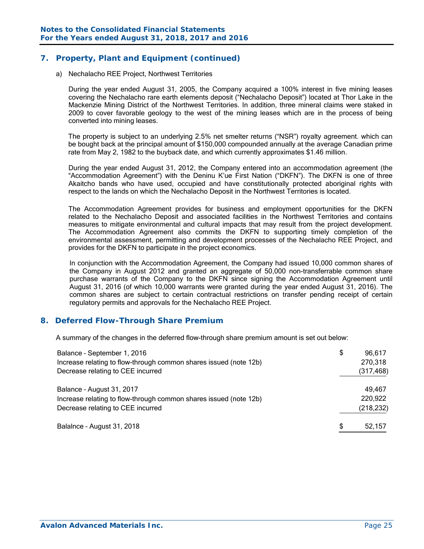# **7. Property, Plant and Equipment (continued)**

a) Nechalacho REE Project, Northwest Territories

During the year ended August 31, 2005, the Company acquired a 100% interest in five mining leases covering the Nechalacho rare earth elements deposit ("Nechalacho Deposit") located at Thor Lake in the Mackenzie Mining District of the Northwest Territories. In addition, three mineral claims were staked in 2009 to cover favorable geology to the west of the mining leases which are in the process of being converted into mining leases.

The property is subject to an underlying 2.5% net smelter returns ("NSR") royalty agreement. which can be bought back at the principal amount of \$150,000 compounded annually at the average Canadian prime rate from May 2, 1982 to the buyback date, and which currently approximates \$1.46 million.

During the year ended August 31, 2012, the Company entered into an accommodation agreement (the "Accommodation Agreement") with the Deninu K'ue First Nation ("DKFN"). The DKFN is one of three Akaitcho bands who have used, occupied and have constitutionally protected aboriginal rights with respect to the lands on which the Nechalacho Deposit in the Northwest Territories is located.

The Accommodation Agreement provides for business and employment opportunities for the DKFN related to the Nechalacho Deposit and associated facilities in the Northwest Territories and contains measures to mitigate environmental and cultural impacts that may result from the project development. The Accommodation Agreement also commits the DKFN to supporting timely completion of the environmental assessment, permitting and development processes of the Nechalacho REE Project, and provides for the DKFN to participate in the project economics.

In conjunction with the Accommodation Agreement, the Company had issued 10,000 common shares of the Company in August 2012 and granted an aggregate of 50,000 non-transferrable common share purchase warrants of the Company to the DKFN since signing the Accommodation Agreement until August 31, 2016 (of which 10,000 warrants were granted during the year ended August 31, 2016). The common shares are subject to certain contractual restrictions on transfer pending receipt of certain regulatory permits and approvals for the Nechalacho REE Project.

#### **8. Deferred Flow-Through Share Premium**

A summary of the changes in the deferred flow-through share premium amount is set out below:

| Balance - September 1, 2016                                       | \$ | 96,617     |
|-------------------------------------------------------------------|----|------------|
| Increase relating to flow-through common shares issued (note 12b) |    | 270,318    |
| Decrease relating to CEE incurred                                 |    | (317, 468) |
|                                                                   |    |            |
| Balance - August 31, 2017                                         |    | 49,467     |
| Increase relating to flow-through common shares issued (note 12b) |    | 220,922    |
| Decrease relating to CEE incurred                                 |    | (218, 232) |
|                                                                   |    |            |
| Balalnce - August 31, 2018                                        | S  | 52,157     |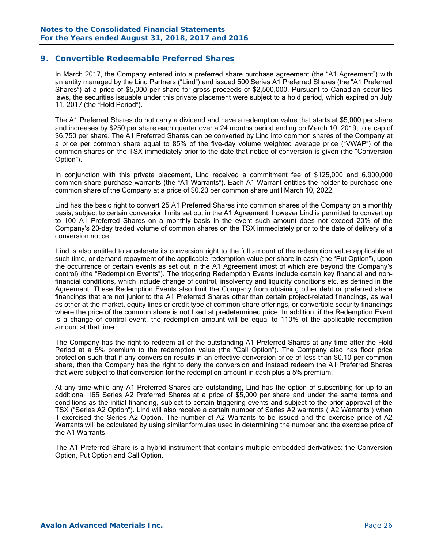# **9. Convertible Redeemable Preferred Shares**

In March 2017, the Company entered into a preferred share purchase agreement (the "A1 Agreement") with an entity managed by the Lind Partners ("Lind") and issued 500 Series A1 Preferred Shares (the "A1 Preferred Shares") at a price of \$5,000 per share for gross proceeds of \$2,500,000. Pursuant to Canadian securities laws, the securities issuable under this private placement were subject to a hold period, which expired on July 11, 2017 (the "Hold Period").

The A1 Preferred Shares do not carry a dividend and have a redemption value that starts at \$5,000 per share and increases by \$250 per share each quarter over a 24 months period ending on March 10, 2019, to a cap of \$6,750 per share. The A1 Preferred Shares can be converted by Lind into common shares of the Company at a price per common share equal to 85% of the five-day volume weighted average price ("VWAP") of the common shares on the TSX immediately prior to the date that notice of conversion is given (the "Conversion Option").

In conjunction with this private placement, Lind received a commitment fee of \$125,000 and 6,900,000 common share purchase warrants (the "A1 Warrants"). Each A1 Warrant entitles the holder to purchase one common share of the Company at a price of \$0.23 per common share until March 10, 2022.

Lind has the basic right to convert 25 A1 Preferred Shares into common shares of the Company on a monthly basis, subject to certain conversion limits set out in the A1 Agreement, however Lind is permitted to convert up to 100 A1 Preferred Shares on a monthly basis in the event such amount does not exceed 20% of the Company's 20-day traded volume of common shares on the TSX immediately prior to the date of delivery of a conversion notice.

 Lind is also entitled to accelerate its conversion right to the full amount of the redemption value applicable at such time, or demand repayment of the applicable redemption value per share in cash (the "Put Option"), upon the occurrence of certain events as set out in the A1 Agreement (most of which are beyond the Company's control) (the "Redemption Events"). The triggering Redemption Events include certain key financial and nonfinancial conditions, which include change of control, insolvency and liquidity conditions etc. as defined in the Agreement. These Redemption Events also limit the Company from obtaining other debt or preferred share financings that are not junior to the A1 Preferred Shares other than certain project-related financings, as well as other at-the-market, equity lines or credit type of common share offerings, or convertible security financings where the price of the common share is not fixed at predetermined price. In addition, if the Redemption Event is a change of control event, the redemption amount will be equal to 110% of the applicable redemption amount at that time.

The Company has the right to redeem all of the outstanding A1 Preferred Shares at any time after the Hold Period at a 5% premium to the redemption value (the "Call Option"). The Company also has floor price protection such that if any conversion results in an effective conversion price of less than \$0.10 per common share, then the Company has the right to deny the conversion and instead redeem the A1 Preferred Shares that were subject to that conversion for the redemption amount in cash plus a 5% premium.

At any time while any A1 Preferred Shares are outstanding, Lind has the option of subscribing for up to an additional 165 Series A2 Preferred Shares at a price of \$5,000 per share and under the same terms and conditions as the initial financing, subject to certain triggering events and subject to the prior approval of the TSX ("Series A2 Option"). Lind will also receive a certain number of Series A2 warrants ("A2 Warrants") when it exercised the Series A2 Option. The number of A2 Warrants to be issued and the exercise price of A2 Warrants will be calculated by using similar formulas used in determining the number and the exercise price of the A1 Warrants.

The A1 Preferred Share is a hybrid instrument that contains multiple embedded derivatives: the Conversion Option, Put Option and Call Option.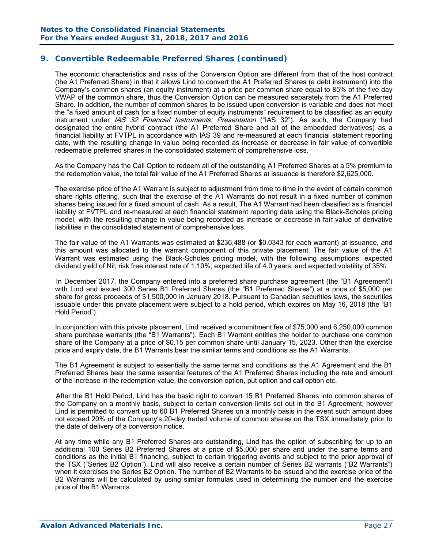The economic characteristics and risks of the Conversion Option are different from that of the host contract (the A1 Preferred Share) in that it allows Lind to convert the A1 Preferred Shares (a debt instrument) into the Company's common shares (an equity instrument) at a price per common share equal to 85% of the five day VWAP of the common share, thus the Conversion Option can be measured separately from the A1 Preferred Share. In addition, the number of common shares to be issued upon conversion is variable and does not meet the "a fixed amount of cash for a fixed number of equity instruments" requirement to be classified as an equity instrument under IAS 32 Financial Instruments: Presentation ("IAS 32"). As such, the Company had designated the entire hybrid contract (the A1 Preferred Share and all of the embedded derivatives) as a financial liability at FVTPL in accordance with IAS 39 and re-measured at each financial statement reporting date, with the resulting change in value being recorded as increase or decrease in fair value of convertible redeemable preferred shares in the consolidated statement of comprehensive loss.

As the Company has the Call Option to redeem all of the outstanding A1 Preferred Shares at a 5% premium to the redemption value, the total fair value of the A1 Preferred Shares at issuance is therefore \$2,625,000.

The exercise price of the A1 Warrant is subject to adjustment from time to time in the event of certain common share rights offering, such that the exercise of the A1 Warrants do not result in a fixed number of common shares being issued for a fixed amount of cash. As a result, The A1 Warrant had been classified as a financial liability at FVTPL and re-measured at each financial statement reporting date using the Black-Scholes pricing model, with the resulting change in value being recorded as increase or decrease in fair value of derivative liabilities in the consolidated statement of comprehensive loss.

 The fair value of the A1 Warrants was estimated at \$236,488 (or \$0.0343 for each warrant) at issuance, and this amount was allocated to the warrant component of this private placement. The fair value of the A1 Warrant was estimated using the Black-Scholes pricing model, with the following assumptions: expected dividend yield of Nil; risk free interest rate of 1.10%; expected life of 4.0 years; and expected volatility of 35%.

 In December 2017, the Company entered into a preferred share purchase agreement (the "B1 Agreement") with Lind and issued 300 Series B1 Preferred Shares (the "B1 Preferred Shares") at a price of \$5,000 per share for gross proceeds of \$1,500,000 in January 2018. Pursuant to Canadian securities laws, the securities issuable under this private placement were subject to a hold period, which expires on May 16, 2018 (the "B1 Hold Period").

In conjunction with this private placement, Lind received a commitment fee of \$75,000 and 6,250,000 common share purchase warrants (the "B1 Warrants"). Each B1 Warrant entitles the holder to purchase one common share of the Company at a price of \$0.15 per common share until January 15, 2023. Other than the exercise price and expiry date, the B1 Warrants bear the similar terms and conditions as the A1 Warrants.

The B1 Agreement is subject to essentially the same terms and conditions as the A1 Agreement and the B1 Preferred Shares bear the same essential features of the A1 Preferred Shares including the rate and amount of the increase in the redemption value, the conversion option, put option and call option etc.

 After the B1 Hold Period, Lind has the basic right to convert 15 B1 Preferred Shares into common shares of the Company on a monthly basis, subject to certain conversion limits set out in the B1 Agreement, however Lind is permitted to convert up to 60 B1 Preferred Shares on a monthly basis in the event such amount does not exceed 20% of the Company's 20-day traded volume of common shares on the TSX immediately prior to the date of delivery of a conversion notice.

At any time while any B1 Preferred Shares are outstanding, Lind has the option of subscribing for up to an additional 100 Series B2 Preferred Shares at a price of \$5,000 per share and under the same terms and conditions as the initial B1 financing, subject to certain triggering events and subject to the prior approval of the TSX ("Series B2 Option"). Lind will also receive a certain number of Series B2 warrants ("B2 Warrants") when it exercises the Series B2 Option. The number of B2 Warrants to be issued and the exercise price of the B2 Warrants will be calculated by using similar formulas used in determining the number and the exercise price of the B1 Warrants.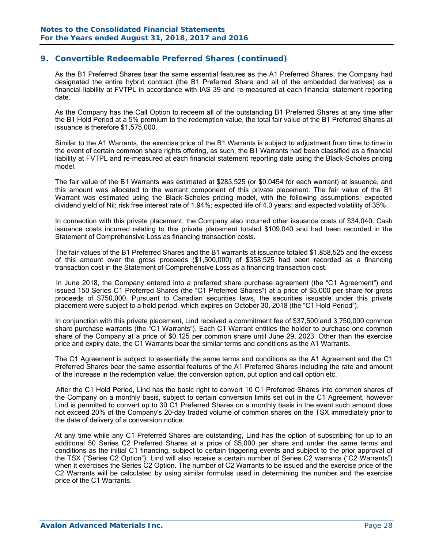As the B1 Preferred Shares bear the same essential features as the A1 Preferred Shares, the Company had designated the entire hybrid contract (the B1 Preferred Share and all of the embedded derivatives) as a financial liability at FVTPL in accordance with IAS 39 and re-measured at each financial statement reporting date.

As the Company has the Call Option to redeem all of the outstanding B1 Preferred Shares at any time after the B1 Hold Period at a 5% premium to the redemption value, the total fair value of the B1 Preferred Shares at issuance is therefore \$1,575,000.

Similar to the A1 Warrants, the exercise price of the B1 Warrants is subject to adjustment from time to time in the event of certain common share rights offering, as such, the B1 Warrants had been classified as a financial liability at FVTPL and re-measured at each financial statement reporting date using the Black-Scholes pricing model.

 The fair value of the B1 Warrants was estimated at \$283,525 (or \$0.0454 for each warrant) at issuance, and this amount was allocated to the warrant component of this private placement. The fair value of the B1 Warrant was estimated using the Black-Scholes pricing model, with the following assumptions: expected dividend yield of Nil; risk free interest rate of 1.94%; expected life of 4.0 years; and expected volatility of 35%.

 In connection with this private placement, the Company also incurred other issuance costs of \$34,040. Cash issuance costs incurred relating to this private placement totaled \$109,040 and had been recorded in the Statement of Comprehensive Loss as financing transaction costs.

The fair values of the B1 Preferred Shares and the B1 warrants at issuance totaled \$1,858,525 and the excess of this amount over the gross proceeds (\$1,500,000) of \$358,525 had been recorded as a financing transaction cost in the Statement of Comprehensive Loss as a financing transaction cost.

 In June 2018, the Company entered into a preferred share purchase agreement (the "C1 Agreement") and issued 150 Series C1 Preferred Shares (the "C1 Preferred Shares") at a price of \$5,000 per share for gross proceeds of \$750,000. Pursuant to Canadian securities laws, the securities issuable under this private placement were subject to a hold period, which expires on October 30, 2018 (the "C1 Hold Period").

In conjunction with this private placement, Lind received a commitment fee of \$37,500 and 3,750,000 common share purchase warrants (the "C1 Warrants"). Each C1 Warrant entitles the holder to purchase one common share of the Company at a price of \$0.125 per common share until June 29, 2023. Other than the exercise price and expiry date, the C1 Warrants bear the similar terms and conditions as the A1 Warrants.

The C1 Agreement is subject to essentially the same terms and conditions as the A1 Agreement and the C1 Preferred Shares bear the same essential features of the A1 Preferred Shares including the rate and amount of the increase in the redemption value, the conversion option, put option and call option etc.

 After the C1 Hold Period, Lind has the basic right to convert 10 C1 Preferred Shares into common shares of the Company on a monthly basis, subject to certain conversion limits set out in the C1 Agreement, however Lind is permitted to convert up to 30 C1 Preferred Shares on a monthly basis in the event such amount does not exceed 20% of the Company's 20-day traded volume of common shares on the TSX immediately prior to the date of delivery of a conversion notice.

At any time while any C1 Preferred Shares are outstanding, Lind has the option of subscribing for up to an additional 50 Series C2 Preferred Shares at a price of \$5,000 per share and under the same terms and conditions as the initial C1 financing, subject to certain triggering events and subject to the prior approval of the TSX ("Series C2 Option"). Lind will also receive a certain number of Series C2 warrants ("C2 Warrants") when it exercises the Series C2 Option. The number of C2 Warrants to be issued and the exercise price of the C2 Warrants will be calculated by using similar formulas used in determining the number and the exercise price of the C1 Warrants.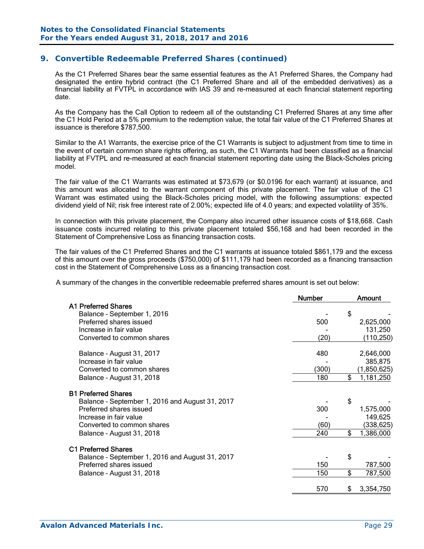As the C1 Preferred Shares bear the same essential features as the A1 Preferred Shares, the Company had designated the entire hybrid contract (the C1 Preferred Share and all of the embedded derivatives) as a financial liability at FVTPL in accordance with IAS 39 and re-measured at each financial statement reporting date.

As the Company has the Call Option to redeem all of the outstanding C1 Preferred Shares at any time after the C1 Hold Period at a 5% premium to the redemption value, the total fair value of the C1 Preferred Shares at issuance is therefore \$787,500.

Similar to the A1 Warrants, the exercise price of the C1 Warrants is subject to adjustment from time to time in the event of certain common share rights offering, as such, the C1 Warrants had been classified as a financial liability at FVTPL and re-measured at each financial statement reporting date using the Black-Scholes pricing model.

 The fair value of the C1 Warrants was estimated at \$73,679 (or \$0.0196 for each warrant) at issuance, and this amount was allocated to the warrant component of this private placement. The fair value of the C1 Warrant was estimated using the Black-Scholes pricing model, with the following assumptions: expected dividend yield of Nil; risk free interest rate of 2.00%; expected life of 4.0 years; and expected volatility of 35%.

In connection with this private placement, the Company also incurred other issuance costs of \$18,668. Cash issuance costs incurred relating to this private placement totaled \$56,168 and had been recorded in the Statement of Comprehensive Loss as financing transaction costs.

The fair values of the C1 Preferred Shares and the C1 warrants at issuance totaled \$861,179 and the excess of this amount over the gross proceeds (\$750,000) of \$111,179 had been recorded as a financing transaction cost in the Statement of Comprehensive Loss as a financing transaction cost.

A summary of the changes in the convertible redeemable preferred shares amount is set out below:

|                                                 | <b>Number</b> | Amount          |
|-------------------------------------------------|---------------|-----------------|
| <b>A1 Preferred Shares</b>                      |               |                 |
| Balance - September 1, 2016                     |               | \$              |
| Preferred shares issued                         | 500           | 2,625,000       |
| Increase in fair value                          |               | 131,250         |
| Converted to common shares                      | (20)          | (110, 250)      |
| Balance - August 31, 2017                       | 480           | 2,646,000       |
| Increase in fair value                          |               | 385,875         |
| Converted to common shares                      | (300)         | (1,850,625)     |
| Balance - August 31, 2018                       | 180           | \$<br>1,181,250 |
| <b>B1 Preferred Shares</b>                      |               |                 |
| Balance - September 1, 2016 and August 31, 2017 |               | \$              |
| Preferred shares issued                         | 300           | 1,575,000       |
| Increase in fair value                          |               | 149,625         |
| Converted to common shares                      | (60)          | (338,625)       |
| Balance - August 31, 2018                       | 240           | \$<br>1,386,000 |
| <b>C1 Preferred Shares</b>                      |               |                 |
| Balance - September 1, 2016 and August 31, 2017 |               | \$              |
| Preferred shares issued                         | 150           | 787,500         |
| Balance - August 31, 2018                       | 150           | \$<br>787,500   |
|                                                 | 570           | 3,354,750       |
|                                                 |               |                 |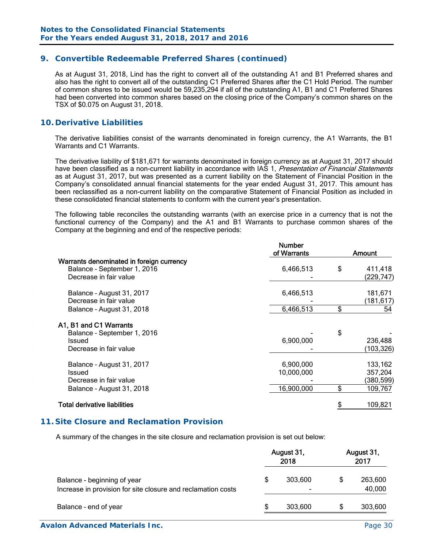As at August 31, 2018, Lind has the right to convert all of the outstanding A1 and B1 Preferred shares and also has the right to convert all of the outstanding C1 Preferred Shares after the C1 Hold Period. The number of common shares to be issued would be 59,235,294 if all of the outstanding A1, B1 and C1 Preferred Shares had been converted into common shares based on the closing price of the Company's common shares on the TSX of \$0.075 on August 31, 2018.

# **10. Derivative Liabilities**

The derivative liabilities consist of the warrants denominated in foreign currency, the A1 Warrants, the B1 Warrants and C1 Warrants.

The derivative liability of \$181,671 for warrants denominated in foreign currency as at August 31, 2017 should have been classified as a non-current liability in accordance with IAS 1, Presentation of Financial Statements as at August 31, 2017, but was presented as a current liability on the Statement of Financial Position in the Company's consolidated annual financial statements for the year ended August 31, 2017. This amount has been reclassified as a non-current liability on the comparative Statement of Financial Position as included in these consolidated financial statements to conform with the current year's presentation.

The following table reconciles the outstanding warrants (with an exercise price in a currency that is not the functional currency of the Company) and the A1 and B1 Warrants to purchase common shares of the Company at the beginning and end of the respective periods:

|                                                                                                   | <b>Number</b><br>of Warrants          | Amount |                                             |  |  |
|---------------------------------------------------------------------------------------------------|---------------------------------------|--------|---------------------------------------------|--|--|
| Warrants denominated in foreign currency<br>Balance - September 1, 2016<br>Decrease in fair value | 6,466,513                             | \$     | 411,418<br>(229,747)                        |  |  |
| Balance - August 31, 2017<br>Decrease in fair value                                               | 6,466,513                             |        | 181,671<br>(181,617)                        |  |  |
| Balance - August 31, 2018                                                                         | 6,466,513                             | \$     | 54                                          |  |  |
| A1, B1 and C1 Warrants<br>Balance - September 1, 2016<br>Issued<br>Decrease in fair value         | 6,900,000                             | \$     | 236,488<br>(103, 326)                       |  |  |
| Balance - August 31, 2017<br>Issued<br>Decrease in fair value<br>Balance - August 31, 2018        | 6,900,000<br>10,000,000<br>16,900,000 | \$     | 133,162<br>357,204<br>(380, 599)<br>109,767 |  |  |
| <b>Total derivative liabilities</b>                                                               |                                       |        | 109,821                                     |  |  |

#### **11. Site Closure and Reclamation Provision**

A summary of the changes in the site closure and reclamation provision is set out below:

|                                                                                             |  | August 31,<br>2018 | August 31,<br>2017 |                   |  |
|---------------------------------------------------------------------------------------------|--|--------------------|--------------------|-------------------|--|
| Balance - beginning of year<br>Increase in provision for site closure and reclamation costs |  | 303,600<br>-       | \$                 | 263,600<br>40,000 |  |
| Balance - end of year                                                                       |  | 303,600            | S                  | 303,600           |  |

**Avalon Advanced Materials Inc. Page 30**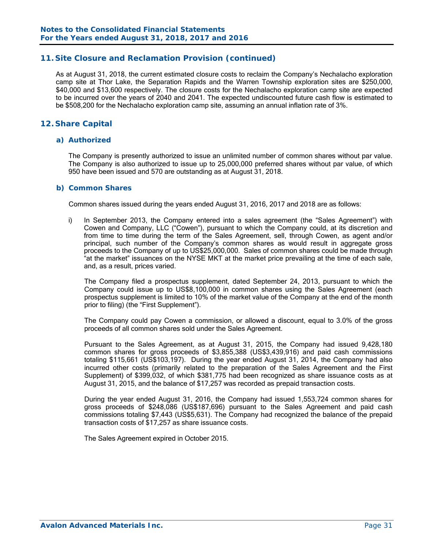## **11. Site Closure and Reclamation Provision (continued)**

As at August 31, 2018, the current estimated closure costs to reclaim the Company's Nechalacho exploration camp site at Thor Lake, the Separation Rapids and the Warren Township exploration sites are \$250,000, \$40,000 and \$13,600 respectively. The closure costs for the Nechalacho exploration camp site are expected to be incurred over the years of 2040 and 2041. The expected undiscounted future cash flow is estimated to be \$508,200 for the Nechalacho exploration camp site, assuming an annual inflation rate of 3%.

# **12. Share Capital**

#### *a) Authorized*

The Company is presently authorized to issue an unlimited number of common shares without par value. The Company is also authorized to issue up to 25,000,000 preferred shares without par value, of which 950 have been issued and 570 are outstanding as at August 31, 2018.

#### *b) Common Shares*

Common shares issued during the years ended August 31, 2016, 2017 and 2018 are as follows:

i) In September 2013, the Company entered into a sales agreement (the "Sales Agreement") with Cowen and Company, LLC ("Cowen"), pursuant to which the Company could, at its discretion and from time to time during the term of the Sales Agreement, sell, through Cowen, as agent and/or principal, such number of the Company's common shares as would result in aggregate gross proceeds to the Company of up to US\$25,000,000. Sales of common shares could be made through "at the market" issuances on the NYSE MKT at the market price prevailing at the time of each sale, and, as a result, prices varied.

The Company filed a prospectus supplement, dated September 24, 2013, pursuant to which the Company could issue up to US\$8,100,000 in common shares using the Sales Agreement (each prospectus supplement is limited to 10% of the market value of the Company at the end of the month prior to filing) (the "First Supplement").

The Company could pay Cowen a commission, or allowed a discount, equal to 3.0% of the gross proceeds of all common shares sold under the Sales Agreement.

Pursuant to the Sales Agreement, as at August 31, 2015, the Company had issued 9,428,180 common shares for gross proceeds of \$3,855,388 (US\$3,439,916) and paid cash commissions totaling \$115,661 (US\$103,197). During the year ended August 31, 2014, the Company had also incurred other costs (primarily related to the preparation of the Sales Agreement and the First Supplement) of \$399,032, of which \$381,775 had been recognized as share issuance costs as at August 31, 2015, and the balance of \$17,257 was recorded as prepaid transaction costs.

During the year ended August 31, 2016, the Company had issued 1,553,724 common shares for gross proceeds of \$248,086 (US\$187,696) pursuant to the Sales Agreement and paid cash commissions totaling \$7,443 (US\$5,631). The Company had recognized the balance of the prepaid transaction costs of \$17,257 as share issuance costs.

The Sales Agreement expired in October 2015.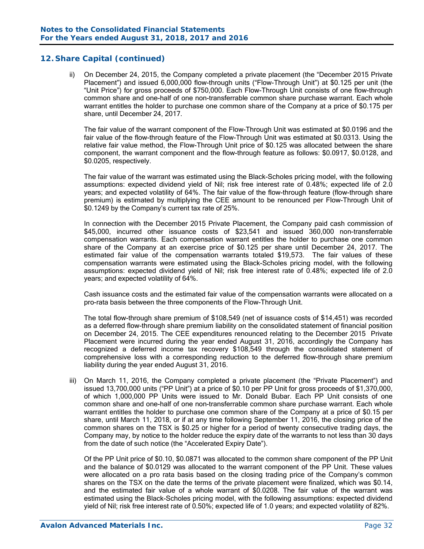ii) On December 24, 2015, the Company completed a private placement (the "December 2015 Private Placement") and issued 6,000,000 flow-through units ("Flow-Through Unit") at \$0.125 per unit (the "Unit Price") for gross proceeds of \$750,000. Each Flow-Through Unit consists of one flow-through common share and one-half of one non-transferrable common share purchase warrant. Each whole warrant entitles the holder to purchase one common share of the Company at a price of \$0.175 per share, until December 24, 2017.

The fair value of the warrant component of the Flow-Through Unit was estimated at \$0.0196 and the fair value of the flow-through feature of the Flow-Through Unit was estimated at \$0.0313. Using the relative fair value method, the Flow-Through Unit price of \$0.125 was allocated between the share component, the warrant component and the flow-through feature as follows: \$0.0917, \$0.0128, and \$0.0205, respectively.

The fair value of the warrant was estimated using the Black-Scholes pricing model, with the following assumptions: expected dividend yield of Nil; risk free interest rate of 0.48%; expected life of 2.0 years; and expected volatility of 64%. The fair value of the flow-through feature (flow-through share premium) is estimated by multiplying the CEE amount to be renounced per Flow-Through Unit of \$0.1249 by the Company's current tax rate of 25%.

In connection with the December 2015 Private Placement, the Company paid cash commission of \$45,000, incurred other issuance costs of \$23,541 and issued 360,000 non-transferrable compensation warrants. Each compensation warrant entitles the holder to purchase one common share of the Company at an exercise price of \$0.125 per share until December 24, 2017. The estimated fair value of the compensation warrants totaled \$19,573. The fair values of these compensation warrants were estimated using the Black-Scholes pricing model, with the following assumptions: expected dividend yield of Nil; risk free interest rate of 0.48%; expected life of 2.0 years; and expected volatility of 64%.

Cash issuance costs and the estimated fair value of the compensation warrants were allocated on a pro-rata basis between the three components of the Flow-Through Unit.

The total flow-through share premium of \$108,549 (net of issuance costs of \$14,451) was recorded as a deferred flow-through share premium liability on the consolidated statement of financial position on December 24, 2015. The CEE expenditures renounced relating to the December 2015 Private Placement were incurred during the year ended August 31, 2016, accordingly the Company has recognized a deferred income tax recovery \$108,549 through the consolidated statement of comprehensive loss with a corresponding reduction to the deferred flow-through share premium liability during the year ended August 31, 2016.

iii) On March 11, 2016, the Company completed a private placement (the "Private Placement") and issued 13,700,000 units ("PP Unit") at a price of \$0.10 per PP Unit for gross proceeds of \$1,370,000, of which 1,000,000 PP Units were issued to Mr. Donald Bubar. Each PP Unit consists of one common share and one-half of one non-transferrable common share purchase warrant. Each whole warrant entitles the holder to purchase one common share of the Company at a price of \$0.15 per share, until March 11, 2018, or if at any time following September 11, 2016, the closing price of the common shares on the TSX is \$0.25 or higher for a period of twenty consecutive trading days, the Company may, by notice to the holder reduce the expiry date of the warrants to not less than 30 days from the date of such notice (the "Accelerated Expiry Date").

 Of the PP Unit price of \$0.10, \$0.0871 was allocated to the common share component of the PP Unit and the balance of \$0.0129 was allocated to the warrant component of the PP Unit. These values were allocated on a pro rata basis based on the closing trading price of the Company's common shares on the TSX on the date the terms of the private placement were finalized, which was \$0.14, and the estimated fair value of a whole warrant of \$0.0208. The fair value of the warrant was estimated using the Black-Scholes pricing model, with the following assumptions: expected dividend yield of Nil; risk free interest rate of 0.50%; expected life of 1.0 years; and expected volatility of 82%.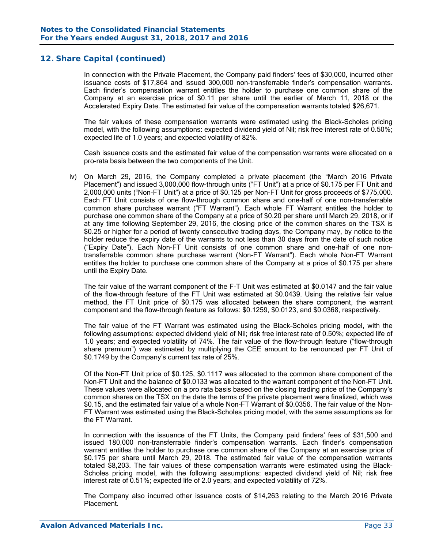In connection with the Private Placement, the Company paid finders' fees of \$30,000, incurred other issuance costs of \$17,864 and issued 300,000 non-transferrable finder's compensation warrants. Each finder's compensation warrant entitles the holder to purchase one common share of the Company at an exercise price of \$0.11 per share until the earlier of March 11, 2018 or the Accelerated Expiry Date. The estimated fair value of the compensation warrants totaled \$26,671.

The fair values of these compensation warrants were estimated using the Black-Scholes pricing model, with the following assumptions: expected dividend yield of Nil; risk free interest rate of 0.50%; expected life of 1.0 years; and expected volatility of 82%.

Cash issuance costs and the estimated fair value of the compensation warrants were allocated on a pro-rata basis between the two components of the Unit.

iv) On March 29, 2016, the Company completed a private placement (the "March 2016 Private Placement") and issued 3,000,000 flow-through units ("FT Unit") at a price of \$0.175 per FT Unit and 2,000,000 units ("Non-FT Unit") at a price of \$0.125 per Non-FT Unit for gross proceeds of \$775,000. Each FT Unit consists of one flow-through common share and one-half of one non-transferrable common share purchase warrant ("FT Warrant"). Each whole FT Warrant entitles the holder to purchase one common share of the Company at a price of \$0.20 per share until March 29, 2018, or if at any time following September 29, 2016, the closing price of the common shares on the TSX is \$0.25 or higher for a period of twenty consecutive trading days, the Company may, by notice to the holder reduce the expiry date of the warrants to not less than 30 days from the date of such notice ("Expiry Date"). Each Non-FT Unit consists of one common share and one-half of one nontransferrable common share purchase warrant (Non-FT Warrant"). Each whole Non-FT Warrant entitles the holder to purchase one common share of the Company at a price of \$0.175 per share until the Expiry Date.

The fair value of the warrant component of the F-T Unit was estimated at \$0.0147 and the fair value of the flow-through feature of the FT Unit was estimated at \$0.0439. Using the relative fair value method, the FT Unit price of \$0.175 was allocated between the share component, the warrant component and the flow-through feature as follows: \$0.1259, \$0.0123, and \$0.0368, respectively.

The fair value of the FT Warrant was estimated using the Black-Scholes pricing model, with the following assumptions: expected dividend yield of Nil; risk free interest rate of 0.50%; expected life of 1.0 years; and expected volatility of 74%. The fair value of the flow-through feature ("flow-through share premium") was estimated by multiplying the CEE amount to be renounced per FT Unit of \$0.1749 by the Company's current tax rate of 25%.

Of the Non-FT Unit price of \$0.125, \$0.1117 was allocated to the common share component of the Non-FT Unit and the balance of \$0.0133 was allocated to the warrant component of the Non-FT Unit. These values were allocated on a pro rata basis based on the closing trading price of the Company's common shares on the TSX on the date the terms of the private placement were finalized, which was \$0.15, and the estimated fair value of a whole Non-FT Warrant of \$0.0356. The fair value of the Non-FT Warrant was estimated using the Black-Scholes pricing model, with the same assumptions as for the FT Warrant.

In connection with the issuance of the FT Units, the Company paid finders' fees of \$31,500 and issued 180,000 non-transferrable finder's compensation warrants. Each finder's compensation warrant entitles the holder to purchase one common share of the Company at an exercise price of \$0.175 per share until March 29, 2018. The estimated fair value of the compensation warrants totaled \$8,203. The fair values of these compensation warrants were estimated using the Black-Scholes pricing model, with the following assumptions: expected dividend yield of Nil; risk free interest rate of 0.51%; expected life of 2.0 years; and expected volatility of 72%.

The Company also incurred other issuance costs of \$14,263 relating to the March 2016 Private Placement.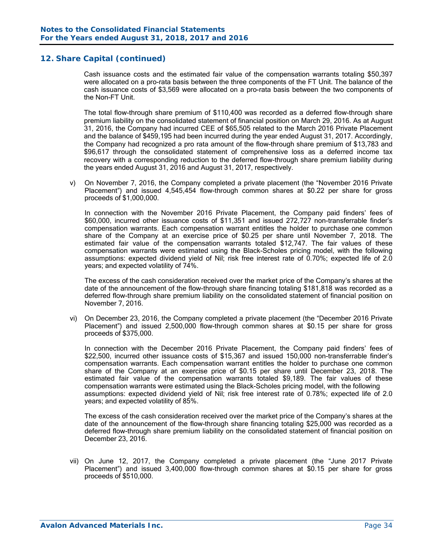Cash issuance costs and the estimated fair value of the compensation warrants totaling \$50,397 were allocated on a pro-rata basis between the three components of the FT Unit. The balance of the cash issuance costs of \$3,569 were allocated on a pro-rata basis between the two components of the Non-FT Unit.

The total flow-through share premium of \$110,400 was recorded as a deferred flow-through share premium liability on the consolidated statement of financial position on March 29, 2016. As at August 31, 2016, the Company had incurred CEE of \$65,505 related to the March 2016 Private Placement and the balance of \$459,195 had been incurred during the year ended August 31, 2017. Accordingly, the Company had recognized a pro rata amount of the flow-through share premium of \$13,783 and \$96,617 through the consolidated statement of comprehensive loss as a deferred income tax recovery with a corresponding reduction to the deferred flow-through share premium liability during the years ended August 31, 2016 and August 31, 2017, respectively.

v) On November 7, 2016, the Company completed a private placement (the "November 2016 Private Placement") and issued 4,545,454 flow-through common shares at \$0.22 per share for gross proceeds of \$1,000,000.

In connection with the November 2016 Private Placement, the Company paid finders' fees of \$60,000, incurred other issuance costs of \$11,351 and issued 272,727 non-transferrable finder's compensation warrants. Each compensation warrant entitles the holder to purchase one common share of the Company at an exercise price of \$0.25 per share until November 7, 2018. The estimated fair value of the compensation warrants totaled \$12,747. The fair values of these compensation warrants were estimated using the Black-Scholes pricing model, with the following assumptions: expected dividend yield of Nil; risk free interest rate of 0.70%; expected life of 2.0 years; and expected volatility of 74%.

The excess of the cash consideration received over the market price of the Company's shares at the date of the announcement of the flow-through share financing totaling \$181,818 was recorded as a deferred flow-through share premium liability on the consolidated statement of financial position on November 7, 2016.

vi) On December 23, 2016, the Company completed a private placement (the "December 2016 Private Placement") and issued 2,500,000 flow-through common shares at \$0.15 per share for gross proceeds of \$375,000.

In connection with the December 2016 Private Placement, the Company paid finders' fees of \$22,500, incurred other issuance costs of \$15,367 and issued 150,000 non-transferrable finder's compensation warrants. Each compensation warrant entitles the holder to purchase one common share of the Company at an exercise price of \$0.15 per share until December 23, 2018. The estimated fair value of the compensation warrants totaled \$9,189. The fair values of these compensation warrants were estimated using the Black-Scholes pricing model, with the following assumptions: expected dividend yield of Nil; risk free interest rate of 0.78%; expected life of 2.0 years; and expected volatility of 85%.

The excess of the cash consideration received over the market price of the Company's shares at the date of the announcement of the flow-through share financing totaling \$25,000 was recorded as a deferred flow-through share premium liability on the consolidated statement of financial position on December 23, 2016.

vii) On June 12, 2017, the Company completed a private placement (the "June 2017 Private Placement") and issued 3,400,000 flow-through common shares at \$0.15 per share for gross proceeds of \$510,000.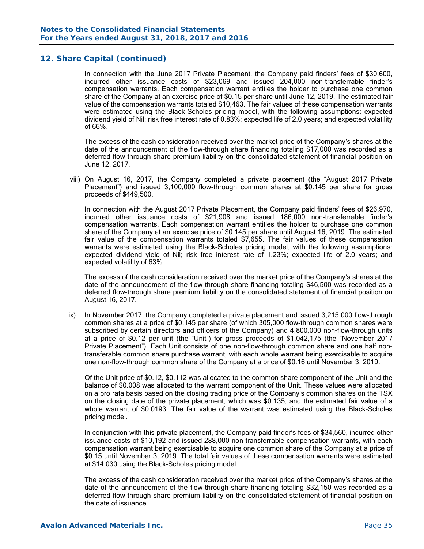In connection with the June 2017 Private Placement, the Company paid finders' fees of \$30,600, incurred other issuance costs of \$23,069 and issued 204,000 non-transferrable finder's compensation warrants. Each compensation warrant entitles the holder to purchase one common share of the Company at an exercise price of \$0.15 per share until June 12, 2019. The estimated fair value of the compensation warrants totaled \$10,463. The fair values of these compensation warrants were estimated using the Black-Scholes pricing model, with the following assumptions: expected dividend yield of Nil; risk free interest rate of 0.83%; expected life of 2.0 years; and expected volatility of 66%.

The excess of the cash consideration received over the market price of the Company's shares at the date of the announcement of the flow-through share financing totaling \$17,000 was recorded as a deferred flow-through share premium liability on the consolidated statement of financial position on June 12, 2017.

viii) On August 16, 2017, the Company completed a private placement (the "August 2017 Private Placement") and issued 3,100,000 flow-through common shares at \$0.145 per share for gross proceeds of \$449,500.

In connection with the August 2017 Private Placement, the Company paid finders' fees of \$26,970, incurred other issuance costs of \$21,908 and issued 186,000 non-transferrable finder's compensation warrants. Each compensation warrant entitles the holder to purchase one common share of the Company at an exercise price of \$0.145 per share until August 16, 2019. The estimated fair value of the compensation warrants totaled \$7,655. The fair values of these compensation warrants were estimated using the Black-Scholes pricing model, with the following assumptions: expected dividend yield of Nil; risk free interest rate of 1.23%; expected life of 2.0 years; and expected volatility of 63%.

The excess of the cash consideration received over the market price of the Company's shares at the date of the announcement of the flow-through share financing totaling \$46,500 was recorded as a deferred flow-through share premium liability on the consolidated statement of financial position on August 16, 2017.

ix) In November 2017, the Company completed a private placement and issued 3,215,000 flow-through common shares at a price of \$0.145 per share (of which 305,000 flow-through common shares were subscribed by certain directors and officers of the Company) and 4,800,000 non-flow-through units at a price of \$0.12 per unit (the "Unit") for gross proceeds of \$1,042,175 (the "November 2017 Private Placement"). Each Unit consists of one non-flow-through common share and one half nontransferable common share purchase warrant, with each whole warrant being exercisable to acquire one non-flow-through common share of the Company at a price of \$0.16 until November 3, 2019.

 Of the Unit price of \$0.12, \$0.112 was allocated to the common share component of the Unit and the balance of \$0.008 was allocated to the warrant component of the Unit. These values were allocated on a pro rata basis based on the closing trading price of the Company's common shares on the TSX on the closing date of the private placement, which was \$0.135, and the estimated fair value of a whole warrant of \$0.0193. The fair value of the warrant was estimated using the Black-Scholes pricing model.

In conjunction with this private placement, the Company paid finder's fees of \$34,560, incurred other issuance costs of \$10,192 and issued 288,000 non-transferrable compensation warrants, with each compensation warrant being exercisable to acquire one common share of the Company at a price of \$0.15 until November 3, 2019. The total fair values of these compensation warrants were estimated at \$14,030 using the Black-Scholes pricing model.

 The excess of the cash consideration received over the market price of the Company's shares at the date of the announcement of the flow-through share financing totaling \$32,150 was recorded as a deferred flow-through share premium liability on the consolidated statement of financial position on the date of issuance.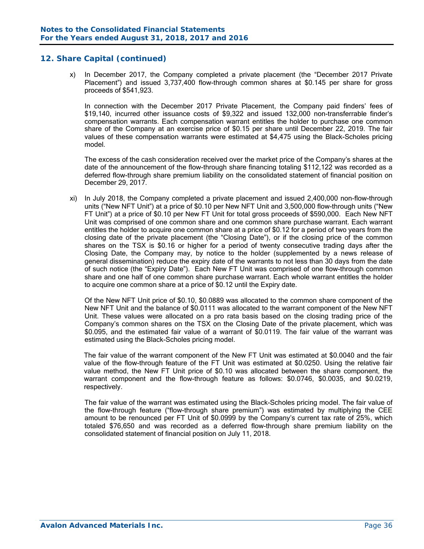x) In December 2017, the Company completed a private placement (the "December 2017 Private Placement") and issued 3,737,400 flow-through common shares at \$0.145 per share for gross proceeds of \$541,923.

In connection with the December 2017 Private Placement, the Company paid finders' fees of \$19,140, incurred other issuance costs of \$9,322 and issued 132,000 non-transferrable finder's compensation warrants. Each compensation warrant entitles the holder to purchase one common share of the Company at an exercise price of \$0.15 per share until December 22, 2019. The fair values of these compensation warrants were estimated at \$4,475 using the Black-Scholes pricing model.

 The excess of the cash consideration received over the market price of the Company's shares at the date of the announcement of the flow-through share financing totaling \$112,122 was recorded as a deferred flow-through share premium liability on the consolidated statement of financial position on December 29, 2017.

xi) In July 2018, the Company completed a private placement and issued 2,400,000 non-flow-through units ("New NFT Unit") at a price of \$0.10 per New NFT Unit and 3,500,000 flow-through units ("New FT Unit") at a price of \$0.10 per New FT Unit for total gross proceeds of \$590,000. Each New NFT Unit was comprised of one common share and one common share purchase warrant. Each warrant entitles the holder to acquire one common share at a price of \$0.12 for a period of two years from the closing date of the private placement (the "Closing Date"), or if the closing price of the common shares on the TSX is \$0.16 or higher for a period of twenty consecutive trading days after the Closing Date, the Company may, by notice to the holder (supplemented by a news release of general dissemination) reduce the expiry date of the warrants to not less than 30 days from the date of such notice (the "Expiry Date"). Each New FT Unit was comprised of one flow-through common share and one half of one common share purchase warrant. Each whole warrant entitles the holder to acquire one common share at a price of \$0.12 until the Expiry date.

 Of the New NFT Unit price of \$0.10, \$0.0889 was allocated to the common share component of the New NFT Unit and the balance of \$0.0111 was allocated to the warrant component of the New NFT Unit. These values were allocated on a pro rata basis based on the closing trading price of the Company's common shares on the TSX on the Closing Date of the private placement, which was \$0.095, and the estimated fair value of a warrant of \$0.0119. The fair value of the warrant was estimated using the Black-Scholes pricing model.

The fair value of the warrant component of the New FT Unit was estimated at \$0.0040 and the fair value of the flow-through feature of the FT Unit was estimated at \$0.0250. Using the relative fair value method, the New FT Unit price of \$0.10 was allocated between the share component, the warrant component and the flow-through feature as follows: \$0.0746, \$0.0035, and \$0.0219, respectively.

The fair value of the warrant was estimated using the Black-Scholes pricing model. The fair value of the flow-through feature ("flow-through share premium") was estimated by multiplying the CEE amount to be renounced per FT Unit of \$0.0999 by the Company's current tax rate of 25%, which totaled \$76,650 and was recorded as a deferred flow-through share premium liability on the consolidated statement of financial position on July 11, 2018.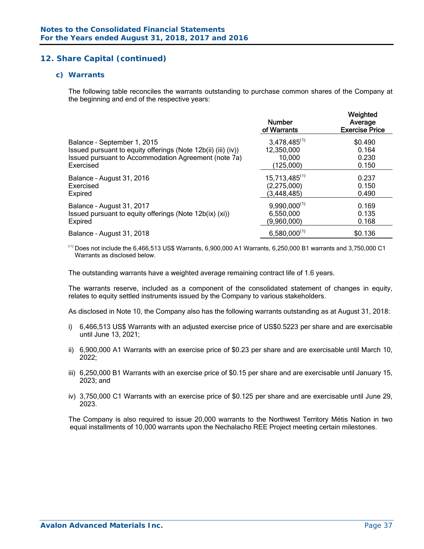#### *c) Warrants*

The following table reconciles the warrants outstanding to purchase common shares of the Company at the beginning and end of the respective years:

|                                                               | <b>Number</b><br>of Warrants | Weighted<br>Average<br><b>Exercise Price</b> |
|---------------------------------------------------------------|------------------------------|----------------------------------------------|
| Balance - September 1, 2015                                   | $3,478,485^{(1)}$            | \$0.490                                      |
| Issued pursuant to equity offerings (Note 12b(ii) (iii) (iv)) | 12,350,000                   | 0.164                                        |
| Issued pursuant to Accommodation Agreement (note 7a)          | 10,000                       | 0.230                                        |
| Exercised                                                     | (125,000)                    | 0.150                                        |
| Balance - August 31, 2016                                     | $15,713,485^{(1)}$           | 0.237                                        |
| Exercised                                                     | (2, 275, 000)                | 0.150                                        |
| Expired                                                       | (3, 448, 485)                | 0.490                                        |
| Balance - August 31, 2017                                     | $9,990,000^{(1)}$            | 0.169                                        |
| Issued pursuant to equity offerings (Note 12b(ix) (xi))       | 6,550,000                    | 0.135                                        |
| Expired                                                       | (9,960,000)                  | 0.168                                        |
| Balance - August 31, 2018                                     | $6,580,000^{(1)}$            | \$0.136                                      |

 $^{(1)}$  Does not include the 6,466,513 US\$ Warrants, 6,900,000 A1 Warrants, 6,250,000 B1 warrants and 3,750,000 C1 Warrants as disclosed below.

The outstanding warrants have a weighted average remaining contract life of 1.6 years.

The warrants reserve, included as a component of the consolidated statement of changes in equity, relates to equity settled instruments issued by the Company to various stakeholders.

As disclosed in Note 10, the Company also has the following warrants outstanding as at August 31, 2018:

- i) 6,466,513 US\$ Warrants with an adjusted exercise price of US\$0.5223 per share and are exercisable until June 13, 2021;
- ii) 6,900,000 A1 Warrants with an exercise price of \$0.23 per share and are exercisable until March 10, 2022;
- iii) 6,250,000 B1 Warrants with an exercise price of \$0.15 per share and are exercisable until January 15, 2023; and
- iv) 3,750,000 C1 Warrants with an exercise price of \$0.125 per share and are exercisable until June 29, 2023.

The Company is also required to issue 20,000 warrants to the Northwest Territory Métis Nation in two equal installments of 10,000 warrants upon the Nechalacho REE Project meeting certain milestones.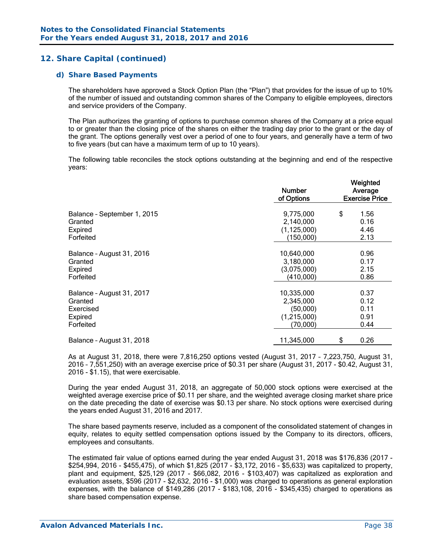#### *d) Share Based Payments*

The shareholders have approved a Stock Option Plan (the "Plan") that provides for the issue of up to 10% of the number of issued and outstanding common shares of the Company to eligible employees, directors and service providers of the Company.

The Plan authorizes the granting of options to purchase common shares of the Company at a price equal to or greater than the closing price of the shares on either the trading day prior to the grant or the day of the grant. The options generally vest over a period of one to four years, and generally have a term of two to five years (but can have a maximum term of up to 10 years).

The following table reconciles the stock options outstanding at the beginning and end of the respective years:

|                             | <b>Number</b><br>of Options | Weighted<br>Average<br><b>Exercise Price</b> |
|-----------------------------|-----------------------------|----------------------------------------------|
| Balance - September 1, 2015 | 9,775,000                   | \$<br>1.56                                   |
| Granted                     | 2,140,000                   | 0.16                                         |
| Expired                     | (1, 125, 000)               | 4.46                                         |
| Forfeited                   | (150,000)                   | 2.13                                         |
| Balance - August 31, 2016   | 10,640,000                  | 0.96                                         |
| Granted                     | 3,180,000                   | 0.17                                         |
| Expired                     | (3,075,000)                 | 2.15                                         |
| Forfeited                   | (410,000)                   | 0.86                                         |
| Balance - August 31, 2017   | 10,335,000                  | 0.37                                         |
| Granted                     | 2,345,000                   | 0.12                                         |
| Exercised                   | (50,000)                    | 0.11                                         |
| Expired                     | (1,215,000)                 | 0.91                                         |
| Forfeited                   | (70,000)                    | 0.44                                         |
| Balance - August 31, 2018   | 11,345,000                  | \$<br>0.26                                   |

As at August 31, 2018, there were 7,816,250 options vested (August 31, 2017 – 7,223,750, August 31, 2016 – 7,551,250) with an average exercise price of \$0.31 per share (August 31, 2017 - \$0.42, August 31, 2016 - \$1.15), that were exercisable.

During the year ended August 31, 2018, an aggregate of 50,000 stock options were exercised at the weighted average exercise price of \$0.11 per share, and the weighted average closing market share price on the date preceding the date of exercise was \$0.13 per share. No stock options were exercised during the years ended August 31, 2016 and 2017.

The share based payments reserve, included as a component of the consolidated statement of changes in equity, relates to equity settled compensation options issued by the Company to its directors, officers, employees and consultants.

The estimated fair value of options earned during the year ended August 31, 2018 was \$176,836 (2017 - \$254,994, 2016 - \$455,475), of which \$1,825 (2017 - \$3,172, 2016 - \$5,633) was capitalized to property, plant and equipment, \$25,129 (2017 - \$66,082, 2016 - \$103,407) was capitalized as exploration and evaluation assets, \$596 (2017 - \$2,632, 2016 - \$1,000) was charged to operations as general exploration expenses, with the balance of \$149,286 (2017 - \$183,108, 2016 - \$345,435) charged to operations as share based compensation expense.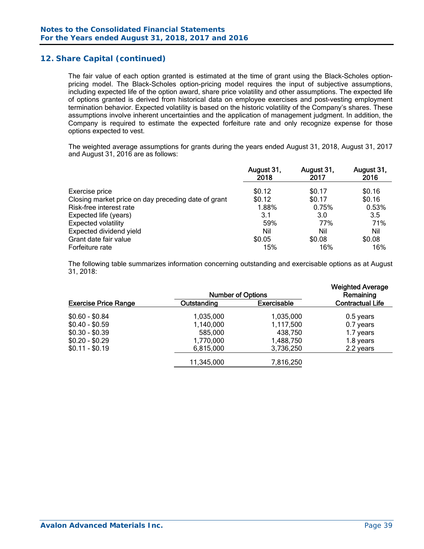The fair value of each option granted is estimated at the time of grant using the Black-Scholes optionpricing model. The Black-Scholes option-pricing model requires the input of subjective assumptions, including expected life of the option award, share price volatility and other assumptions. The expected life of options granted is derived from historical data on employee exercises and post-vesting employment termination behavior. Expected volatility is based on the historic volatility of the Company's shares. These assumptions involve inherent uncertainties and the application of management judgment. In addition, the Company is required to estimate the expected forfeiture rate and only recognize expense for those options expected to vest.

The weighted average assumptions for grants during the years ended August 31, 2018, August 31, 2017 and August 31, 2016 are as follows:

|                                                     | August 31,<br>2018 | August 31,<br>2017 | August 31,<br>2016 |
|-----------------------------------------------------|--------------------|--------------------|--------------------|
| Exercise price                                      | \$0.12             | \$0.17             | \$0.16             |
| Closing market price on day preceding date of grant | \$0.12             | \$0.17             | \$0.16             |
| Risk-free interest rate                             | 1.88%              | 0.75%              | 0.53%              |
| Expected life (years)                               | 3.1                | 3.0                | 3.5                |
| <b>Expected volatility</b>                          | 59%                | 77%                | 71%                |
| Expected dividend yield                             | Nil                | Nil                | Nil                |
| Grant date fair value                               | \$0.05             | \$0.08             | \$0.08             |
| Forfeiture rate                                     | 15%                | 16%                | 16%                |

The following table summarizes information concerning outstanding and exercisable options as at August 31, 2018:

|                             |                                   | <b>Number of Options</b> |                         |  |  |  |  |
|-----------------------------|-----------------------------------|--------------------------|-------------------------|--|--|--|--|
| <b>Exercise Price Range</b> | <b>Exercisable</b><br>Outstanding |                          | <b>Contractual Life</b> |  |  |  |  |
| $$0.60 - $0.84$             | 1,035,000                         | 1,035,000                | $0.5$ years             |  |  |  |  |
| $$0.40 - $0.59$             | 1,140,000                         | 1,117,500                | 0.7 years               |  |  |  |  |
| $$0.30 - $0.39$             | 585,000                           | 438,750                  | 1.7 years               |  |  |  |  |
| $$0.20 - $0.29$             | 1,770,000                         | 1,488,750                | 1.8 years               |  |  |  |  |
| $$0.11 - $0.19$             | 6,815,000                         | 3,736,250                | 2.2 years               |  |  |  |  |
|                             | 11,345,000                        | 7,816,250                |                         |  |  |  |  |
|                             |                                   |                          |                         |  |  |  |  |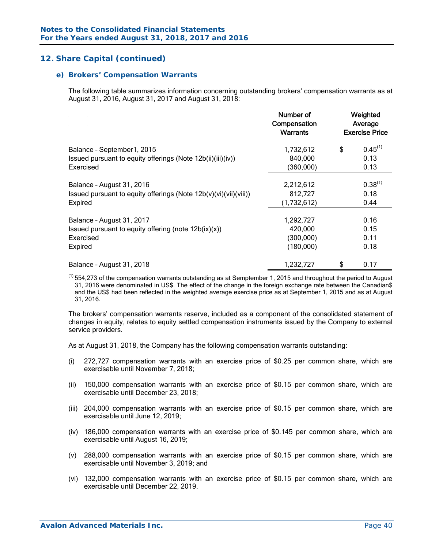#### *e) Brokers' Compensation Warrants*

The following table summarizes information concerning outstanding brokers' compensation warrants as at August 31, 2016, August 31, 2017 and August 31, 2018:

|                                                                                           | Number of<br>Compensation<br><b>Warrants</b> | Weighted<br>Average<br><b>Exercise Price</b> |                      |  |  |
|-------------------------------------------------------------------------------------------|----------------------------------------------|----------------------------------------------|----------------------|--|--|
| Balance - September1, 2015<br>Issued pursuant to equity offerings (Note 12b(ii)(iii)(iv)) | 1,732,612<br>840,000                         | \$                                           | $0.45^{(1)}$<br>0.13 |  |  |
| Exercised                                                                                 | (360,000)                                    |                                              | 0.13                 |  |  |
| Balance - August 31, 2016                                                                 | 2,212,612                                    |                                              | $0.38^{(1)}$         |  |  |
| Issued pursuant to equity offerings (Note $12b(v)(vi)(vii)(viii))$                        | 812,727                                      |                                              | 0.18                 |  |  |
| Expired                                                                                   | (1,732,612)                                  |                                              | 0.44                 |  |  |
| Balance - August 31, 2017                                                                 | 1,292,727                                    |                                              | 0.16                 |  |  |
| Issued pursuant to equity offering (note $12b(ix)(x)$ )                                   | 420,000                                      |                                              | 0.15                 |  |  |
| Exercised                                                                                 | (300,000)                                    |                                              | 0.11                 |  |  |
| Expired                                                                                   | (180,000)                                    |                                              | 0.18                 |  |  |
| Balance - August 31, 2018                                                                 | 1,232,727                                    | \$                                           | 0.17                 |  |  |

 $^{(1)}$  554,273 of the compensation warrants outstanding as at Semptember 1, 2015 and throughout the period to August 31, 2016 were denominated in US\$. The effect of the change in the foreign exchange rate between the Canadian\$ and the US\$ had been reflected in the weighted average exercise price as at September 1, 2015 and as at August 31, 2016.

The brokers' compensation warrants reserve, included as a component of the consolidated statement of changes in equity, relates to equity settled compensation instruments issued by the Company to external service providers.

As at August 31, 2018, the Company has the following compensation warrants outstanding:

- (i) 272,727 compensation warrants with an exercise price of \$0.25 per common share, which are exercisable until November 7, 2018;
- (ii) 150,000 compensation warrants with an exercise price of \$0.15 per common share, which are exercisable until December 23, 2018;
- (iii) 204,000 compensation warrants with an exercise price of \$0.15 per common share, which are exercisable until June 12, 2019;
- (iv) 186,000 compensation warrants with an exercise price of \$0.145 per common share, which are exercisable until August 16, 2019;
- (v) 288,000 compensation warrants with an exercise price of \$0.15 per common share, which are exercisable until November 3, 2019; and
- (vi) 132,000 compensation warrants with an exercise price of \$0.15 per common share, which are exercisable until December 22, 2019.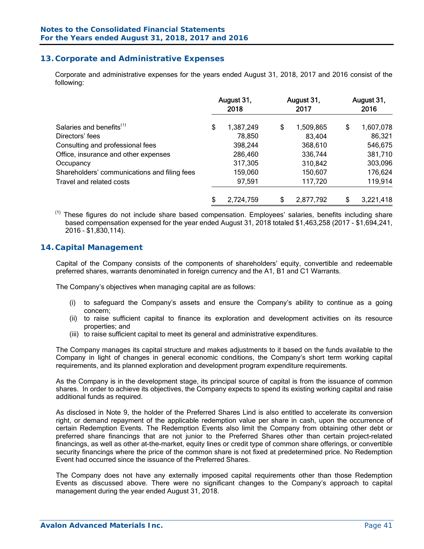# **13. Corporate and Administrative Expenses**

 Corporate and administrative expenses for the years ended August 31, 2018, 2017 and 2016 consist of the following:

| Salaries and benefits <sup>(1)</sup>         |    | August 31,<br>2018 | August 31,<br>2017 | August 31,<br>2016 |           |  |
|----------------------------------------------|----|--------------------|--------------------|--------------------|-----------|--|
|                                              |    | 1,387,249          | \$<br>1,509,865    | \$                 | 1,607,078 |  |
| Directors' fees                              |    | 78,850             | 83,404             |                    | 86,321    |  |
| Consulting and professional fees             |    | 398,244            | 368,610            |                    | 546,675   |  |
| Office, insurance and other expenses         |    | 286,460            | 336,744            |                    | 381,710   |  |
| Occupancy                                    |    | 317,305            | 310,842            |                    | 303,096   |  |
| Shareholders' communications and filing fees |    | 159,060            | 150,607            |                    | 176,624   |  |
| Travel and related costs                     |    | 97,591             | 117,720            |                    | 119,914   |  |
|                                              | \$ | 2,724,759          | \$<br>2,877,792    | \$                 | 3,221,418 |  |

(1) These figures do not include share based compensation. Employees' salaries, benefits including share based compensation expensed for the year ended August 31, 2018 totaled \$1,463,258 (2017 - \$1,694,241, 2016 – \$1,830,114).

# **14. Capital Management**

Capital of the Company consists of the components of shareholders' equity, convertible and redeemable preferred shares, warrants denominated in foreign currency and the A1, B1 and C1 Warrants.

The Company's objectives when managing capital are as follows:

- (i) to safeguard the Company's assets and ensure the Company's ability to continue as a going concern;
- (ii) to raise sufficient capital to finance its exploration and development activities on its resource properties; and
- (iii) to raise sufficient capital to meet its general and administrative expenditures.

The Company manages its capital structure and makes adjustments to it based on the funds available to the Company in light of changes in general economic conditions, the Company's short term working capital requirements, and its planned exploration and development program expenditure requirements.

As the Company is in the development stage, its principal source of capital is from the issuance of common shares. In order to achieve its objectives, the Company expects to spend its existing working capital and raise additional funds as required.

As disclosed in Note 9, the holder of the Preferred Shares Lind is also entitled to accelerate its conversion right, or demand repayment of the applicable redemption value per share in cash, upon the occurrence of certain Redemption Events. The Redemption Events also limit the Company from obtaining other debt or preferred share financings that are not junior to the Preferred Shares other than certain project-related financings, as well as other at-the-market, equity lines or credit type of common share offerings, or convertible security financings where the price of the common share is not fixed at predetermined price. No Redemption Event had occurred since the issuance of the Preferred Shares.

The Company does not have any externally imposed capital requirements other than those Redemption Events as discussed above. There were no significant changes to the Company's approach to capital management during the year ended August 31, 2018.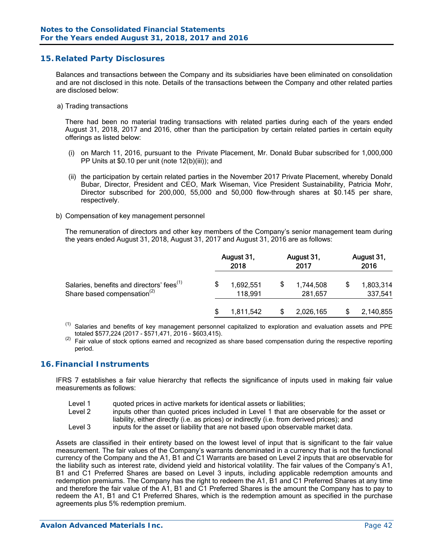# **15. Related Party Disclosures**

Balances and transactions between the Company and its subsidiaries have been eliminated on consolidation and are not disclosed in this note. Details of the transactions between the Company and other related parties are disclosed below:

a) Trading transactions

There had been no material trading transactions with related parties during each of the years ended August 31, 2018, 2017 and 2016, other than the participation by certain related parties in certain equity offerings as listed below:

- (i) on March 11, 2016, pursuant to the Private Placement, Mr. Donald Bubar subscribed for 1,000,000 PP Units at \$0.10 per unit (note 12(b)(iii)); and
- (ii) the participation by certain related parties in the November 2017 Private Placement, whereby Donald Bubar, Director, President and CEO, Mark Wiseman, Vice President Sustainability, Patricia Mohr, Director subscribed for 200,000, 55,000 and 50,000 flow-through shares at \$0.145 per share, respectively.
- b) Compensation of key management personnel

The remuneration of directors and other key members of the Company's senior management team during the years ended August 31, 2018, August 31, 2017 and August 31, 2016 are as follows:

|                                                                                                  |    | August 31,<br>2018   | August 31,<br>2017   | August 31,<br>2016 |                      |  |
|--------------------------------------------------------------------------------------------------|----|----------------------|----------------------|--------------------|----------------------|--|
| Salaries, benefits and directors' fees <sup>(1)</sup><br>Share based compensation <sup>(2)</sup> | \$ | 1,692,551<br>118,991 | 1,744,508<br>281,657 | \$                 | 1,803,314<br>337,541 |  |
|                                                                                                  | S  | 1,811,542            | 2,026,165            |                    | 2,140,855            |  |

 $(1)$ Salaries and benefits of key management personnel capitalized to exploration and evaluation assets and PPE totaled \$577,224 (2017 - \$571,471, 2016 - \$603,415).

 $\frac{1}{2}$  Fair value of stock options earned and recognized as share based compensation during the respective reporting period.

#### **16. Financial Instruments**

IFRS 7 establishes a fair value hierarchy that reflects the significance of inputs used in making fair value measurements as follows:

- Level 1 quoted prices in active markets for identical assets or liabilities;
- Level 2 inputs other than quoted prices included in Level 1 that are observable for the asset or liability, either directly (i.e. as prices) or indirectly (i.e. from derived prices); and
- Level 3 inputs for the asset or liability that are not based upon observable market data.

Assets are classified in their entirety based on the lowest level of input that is significant to the fair value measurement. The fair values of the Company's warrants denominated in a currency that is not the functional currency of the Company and the A1, B1 and C1 Warrants are based on Level 2 inputs that are observable for the liability such as interest rate, dividend yield and historical volatility. The fair values of the Company's A1, B1 and C1 Preferred Shares are based on Level 3 inputs, including applicable redemption amounts and redemption premiums. The Company has the right to redeem the A1, B1 and C1 Preferred Shares at any time and therefore the fair value of the A1, B1 and C1 Preferred Shares is the amount the Company has to pay to redeem the A1, B1 and C1 Preferred Shares, which is the redemption amount as specified in the purchase agreements plus 5% redemption premium.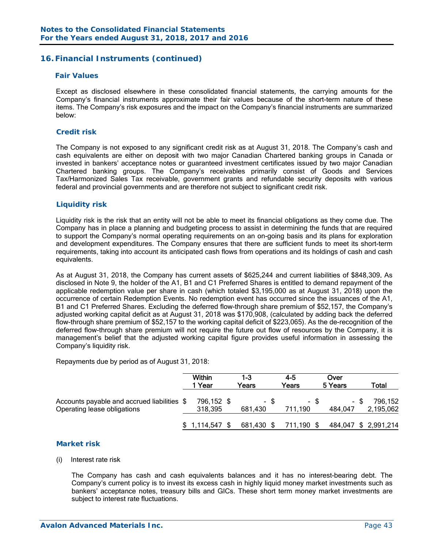# **16. Financial Instruments (continued)**

#### *Fair Values*

Except as disclosed elsewhere in these consolidated financial statements, the carrying amounts for the Company's financial instruments approximate their fair values because of the short-term nature of these items. The Company's risk exposures and the impact on the Company's financial instruments are summarized below:

#### *Credit risk*

The Company is not exposed to any significant credit risk as at August 31, 2018. The Company's cash and cash equivalents are either on deposit with two major Canadian Chartered banking groups in Canada or invested in bankers' acceptance notes or guaranteed investment certificates issued by two major Canadian Chartered banking groups. The Company's receivables primarily consist of Goods and Services Tax/Harmonized Sales Tax receivable, government grants and refundable security deposits with various federal and provincial governments and are therefore not subject to significant credit risk.

#### *Liquidity risk*

Liquidity risk is the risk that an entity will not be able to meet its financial obligations as they come due. The Company has in place a planning and budgeting process to assist in determining the funds that are required to support the Company's normal operating requirements on an on-going basis and its plans for exploration and development expenditures. The Company ensures that there are sufficient funds to meet its short-term requirements, taking into account its anticipated cash flows from operations and its holdings of cash and cash equivalents.

As at August 31, 2018, the Company has current assets of \$625,244 and current liabilities of \$848,309. As disclosed in Note 9, the holder of the A1, B1 and C1 Preferred Shares is entitled to demand repayment of the applicable redemption value per share in cash (which totaled \$3,195,000 as at August 31, 2018) upon the occurrence of certain Redemption Events. No redemption event has occurred since the issuances of the A1, B1 and C1 Preferred Shares. Excluding the deferred flow-through share premium of \$52,157, the Company's adjusted working capital deficit as at August 31, 2018 was \$170,908, (calculated by adding back the deferred flow-through share premium of \$52,157 to the working capital deficit of \$223,065). As the de-recognition of the deferred flow-through share premium will not require the future out flow of resources by the Company, it is management's belief that the adjusted working capital figure provides useful information in assessing the Company's liquidity risk.

Repayments due by period as of August 31, 2018:

|                                                                            | <b>Within</b><br>1 Year | 1-3<br>Years    | 4-5<br>Years    | Over<br>5 Years |      | Total                |
|----------------------------------------------------------------------------|-------------------------|-----------------|-----------------|-----------------|------|----------------------|
| Accounts payable and accrued liabilities \$<br>Operating lease obligations | 796,152 \$<br>318,395   | - \$<br>681.430 | - \$<br>711,190 | 484,047         | - \$ | 796,152<br>2,195,062 |
|                                                                            | $$1,114,547$ \$         | 681,430 \$      | 711,190 \$      |                 |      | 484,047 \$ 2,991,214 |

#### *Market risk*

#### (i) Interest rate risk

 The Company has cash and cash equivalents balances and it has no interest-bearing debt. The Company's current policy is to invest its excess cash in highly liquid money market investments such as bankers' acceptance notes, treasury bills and GICs. These short term money market investments are subject to interest rate fluctuations.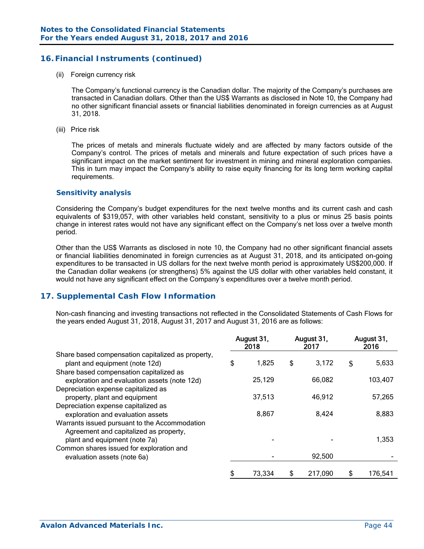# **16. Financial Instruments (continued)**

(ii) Foreign currency risk

 The Company's functional currency is the Canadian dollar. The majority of the Company's purchases are transacted in Canadian dollars. Other than the US\$ Warrants as disclosed in Note 10, the Company had no other significant financial assets or financial liabilities denominated in foreign currencies as at August 31, 2018.

(iii) Price risk

 The prices of metals and minerals fluctuate widely and are affected by many factors outside of the Company's control. The prices of metals and minerals and future expectation of such prices have a significant impact on the market sentiment for investment in mining and mineral exploration companies. This in turn may impact the Company's ability to raise equity financing for its long term working capital requirements.

#### *Sensitivity analysis*

 Considering the Company's budget expenditures for the next twelve months and its current cash and cash equivalents of \$319,057, with other variables held constant, sensitivity to a plus or minus 25 basis points change in interest rates would not have any significant effect on the Company's net loss over a twelve month period.

Other than the US\$ Warrants as disclosed in note 10, the Company had no other significant financial assets or financial liabilities denominated in foreign currencies as at August 31, 2018, and its anticipated on-going expenditures to be transacted in US dollars for the next twelve month period is approximately US\$200,000. If the Canadian dollar weakens (or strengthens) 5% against the US dollar with other variables held constant, it would not have any significant effect on the Company's expenditures over a twelve month period.

#### **17. Supplemental Cash Flow Information**

Non-cash financing and investing transactions not reflected in the Consolidated Statements of Cash Flows for the years ended August 31, 2018, August 31, 2017 and August 31, 2016 are as follows:

|                                                                           | August 31,<br>2018 |        |    | August 31,<br>2017 | August 31,<br>2016 |         |  |
|---------------------------------------------------------------------------|--------------------|--------|----|--------------------|--------------------|---------|--|
| Share based compensation capitalized as property,                         | \$                 | 1,825  | \$ | 3,172              |                    | 5,633   |  |
| plant and equipment (note 12d)<br>Share based compensation capitalized as |                    |        |    |                    | \$                 |         |  |
| exploration and evaluation assets (note 12d)                              |                    | 25,129 |    | 66,082             |                    | 103,407 |  |
| Depreciation expense capitalized as                                       |                    |        |    |                    |                    |         |  |
| property, plant and equipment<br>Depreciation expense capitalized as      |                    | 37,513 |    | 46,912             |                    | 57,265  |  |
| exploration and evaluation assets                                         |                    | 8,867  |    | 8,424              |                    | 8,883   |  |
| Warrants issued pursuant to the Accommodation                             |                    |        |    |                    |                    |         |  |
| Agreement and capitalized as property,<br>plant and equipment (note 7a)   |                    |        |    |                    |                    | 1,353   |  |
| Common shares issued for exploration and<br>evaluation assets (note 6a)   |                    |        |    | 92,500             |                    |         |  |
|                                                                           | \$                 | 73,334 | S  | 217,090            | \$                 | 176,541 |  |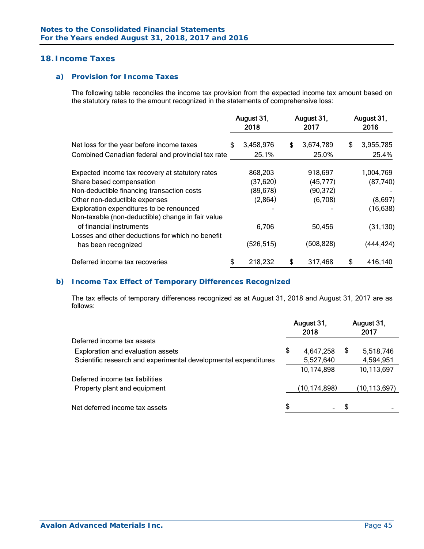# **18. Income Taxes**

# *a) Provision for Income Taxes*

The following table reconciles the income tax provision from the expected income tax amount based on the statutory rates to the amount recognized in the statements of comprehensive loss:

|                                                                                               |    | August 31,<br>2018 | August 31,<br>2017 | August 31,<br>2016 |
|-----------------------------------------------------------------------------------------------|----|--------------------|--------------------|--------------------|
| Net loss for the year before income taxes                                                     | \$ | 3,458,976          | \$<br>3,674,789    | \$<br>3,955,785    |
| Combined Canadian federal and provincial tax rate                                             |    | 25.1%              | 25.0%              | 25.4%              |
| Expected income tax recovery at statutory rates                                               |    | 868,203            | 918,697            | 1,004,769          |
| Share based compensation                                                                      |    | (37, 620)          | (45, 777)          | (87, 740)          |
| Non-deductible financing transaction costs                                                    |    | (89, 678)          | (90, 372)          |                    |
| Other non-deductible expenses                                                                 |    | (2,864)            | (6,708)            | (8,697)            |
| Exploration expenditures to be renounced<br>Non-taxable (non-deductible) change in fair value |    |                    |                    | (16, 638)          |
| of financial instruments                                                                      |    | 6,706              | 50,456             | (31, 130)          |
| Losses and other deductions for which no benefit<br>has been recognized                       |    | (526, 515)         | (508, 828)         | (444, 424)         |
| Deferred income tax recoveries                                                                | S  | 218,232            | \$<br>317,468      | \$<br>416,140      |

#### *b) Income Tax Effect of Temporary Differences Recognized*

The tax effects of temporary differences recognized as at August 31, 2018 and August 31, 2017 are as follows:

|                                                                 | August 31,<br>2018 |                | August 31,<br>2017 |                |
|-----------------------------------------------------------------|--------------------|----------------|--------------------|----------------|
| Deferred income tax assets                                      |                    |                |                    |                |
| Exploration and evaluation assets                               | \$                 | 4,647,258      | - \$               | 5,518,746      |
| Scientific research and experimental developmental expenditures |                    | 5,527,640      |                    | 4,594,951      |
|                                                                 |                    | 10,174,898     |                    | 10,113,697     |
| Deferred income tax liabilities                                 |                    |                |                    |                |
| Property plant and equipment                                    |                    | (10, 174, 898) |                    | (10, 113, 697) |
|                                                                 |                    |                |                    |                |
| Net deferred income tax assets                                  | \$                 |                | \$                 |                |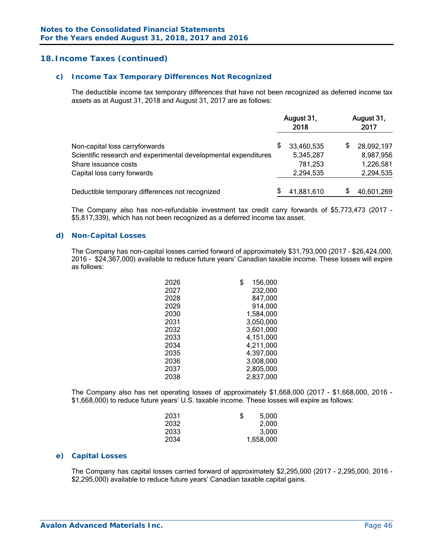# **18. Income Taxes (continued)**

#### *c) Income Tax Temporary Differences Not Recognized*

The deductible income tax temporary differences that have not been recognized as deferred income tax assets as at August 31, 2018 and August 31, 2017 are as follows:

|                                                                 |    | August 31,<br>2018 |    | August 31,<br>2017 |  |
|-----------------------------------------------------------------|----|--------------------|----|--------------------|--|
| Non-capital loss carryforwards                                  | \$ | 33,460,535         | \$ | 28,092,197         |  |
| Scientific research and experimental developmental expenditures |    | 5,345,287          |    | 8,987,956          |  |
| Share issuance costs                                            |    | 781,253            |    | 1,226,581          |  |
| Capital loss carry forwards                                     |    | 2,294,535          |    | 2,294,535          |  |
| Deductible temporary differences not recognized                 |    | 41,881,610         | S  | 40,601,269         |  |

The Company also has non-refundable investment tax credit carry forwards of \$5,773,473 (2017 - \$5,817,339), which has not been recognized as a deferred income tax asset.

#### *d) Non-Capital Losses*

The Company has non-capital losses carried forward of approximately \$31,793,000 (2017 – \$26,424,000, 2016 - \$24,367,000) available to reduce future years' Canadian taxable income. These losses will expire as follows:

| 2026 | \$<br>156,000 |
|------|---------------|
| 2027 | 232,000       |
| 2028 | 847,000       |
| 2029 | 914,000       |
| 2030 | 1,584,000     |
| 2031 | 3,050,000     |
| 2032 | 3,601,000     |
| 2033 | 4,151,000     |
| 2034 | 4,211,000     |
| 2035 | 4,397,000     |
| 2036 | 3,008,000     |
| 2037 | 2,805,000     |
| 2038 | 2,837,000     |

 The Company also has net operating losses of approximately \$1,668,000 (2017 - \$1,668,000, 2016 - \$1,668,000) to reduce future years' U.S. taxable income. These losses will expire as follows:

| 2031<br>\$ | 5,000     |
|------------|-----------|
| 2032       | 2,000     |
| 2033       | 3,000     |
| 2034       | 1,658,000 |

#### *e) Capital Losses*

 The Company has capital losses carried forward of approximately \$2,295,000 (2017 - 2,295,000, 2016 - \$2,295,000) available to reduce future years' Canadian taxable capital gains.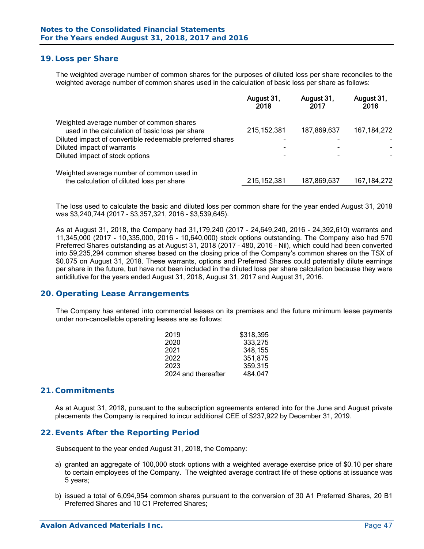# **19. Loss per Share**

The weighted average number of common shares for the purposes of diluted loss per share reconciles to the weighted average number of common shares used in the calculation of basic loss per share as follows:

|                                                                                        | August 31,<br>2018 | August 31,<br>2017 | August 31,<br>2016 |
|----------------------------------------------------------------------------------------|--------------------|--------------------|--------------------|
| Weighted average number of common shares                                               | 215, 152, 381      |                    |                    |
| used in the calculation of basic loss per share                                        |                    | 187,869,637        | 167, 184, 272      |
| Diluted impact of convertible redeemable preferred shares                              |                    |                    |                    |
| Diluted impact of warrants                                                             |                    |                    |                    |
| Diluted impact of stock options                                                        |                    |                    |                    |
| Weighted average number of common used in<br>the calculation of diluted loss per share | 215, 152, 381      | 187,869,637        | 167, 184, 272      |

The loss used to calculate the basic and diluted loss per common share for the year ended August 31, 2018 was \$3,240,744 (2017 - \$3,357,321, 2016 - \$3,539,645).

As at August 31, 2018, the Company had 31,179,240 (2017 - 24,649,240, 2016 - 24,392,610) warrants and 11,345,000 (2017 - 10,335,000, 2016 - 10,640,000) stock options outstanding. The Company also had 570 Preferred Shares outstanding as at August 31, 2018 (2017 – 480, 2016 – Nil), which could had been converted into 59,235,294 common shares based on the closing price of the Company's common shares on the TSX of \$0.075 on August 31, 2018. These warrants, options and Preferred Shares could potentially dilute earnings per share in the future, but have not been included in the diluted loss per share calculation because they were antidilutive for the years ended August 31, 2018, August 31, 2017 and August 31, 2016.

#### **20. Operating Lease Arrangements**

The Company has entered into commercial leases on its premises and the future minimum lease payments under non-cancellable operating leases are as follows:

| \$318,395 |
|-----------|
| 333,275   |
| 348.155   |
| 351.875   |
| 359,315   |
| 484.047   |
|           |

#### **21. Commitments**

As at August 31, 2018, pursuant to the subscription agreements entered into for the June and August private placements the Company is required to incur additional CEE of \$237,922 by December 31, 2019.

#### **22. Events After the Reporting Period**

Subsequent to the year ended August 31, 2018, the Company:

- a) granted an aggregate of 100,000 stock options with a weighted average exercise price of \$0.10 per share to certain employees of the Company. The weighted average contract life of these options at issuance was 5 years;
- b) issued a total of 6,094,954 common shares pursuant to the conversion of 30 A1 Preferred Shares, 20 B1 Preferred Shares and 10 C1 Preferred Shares;